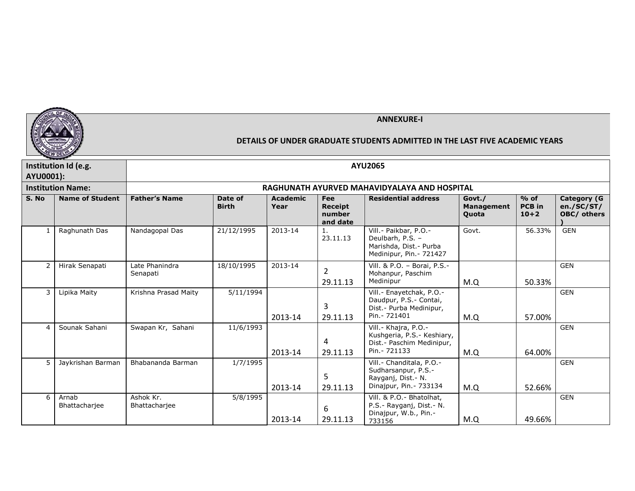

|              | <b><i>Property Company and Company of the Company's</i></b> |                            |                         |                         |                                             |                                                                                                     |                                             |                                     |                                                 |
|--------------|-------------------------------------------------------------|----------------------------|-------------------------|-------------------------|---------------------------------------------|-----------------------------------------------------------------------------------------------------|---------------------------------------------|-------------------------------------|-------------------------------------------------|
|              | Institution Id (e.g.                                        |                            |                         |                         |                                             | <b>AYU2065</b>                                                                                      |                                             |                                     |                                                 |
| AYU0001):    |                                                             |                            |                         |                         |                                             |                                                                                                     |                                             |                                     |                                                 |
|              | <b>Institution Name:</b>                                    |                            |                         |                         |                                             | RAGHUNATH AYURVED MAHAVIDYALAYA AND HOSPITAL                                                        |                                             |                                     |                                                 |
| S. No        | <b>Name of Student</b>                                      | <b>Father's Name</b>       | Date of<br><b>Birth</b> | <b>Academic</b><br>Year | Fee<br><b>Receipt</b><br>number<br>and date | <b>Residential address</b>                                                                          | Govt./<br><b>Management</b><br><b>Quota</b> | $%$ of<br><b>PCB</b> in<br>$10 + 2$ | <b>Category (G</b><br>en./SC/ST/<br>OBC/ others |
| $\mathbf{1}$ | Raghunath Das                                               | Nandagopal Das             | 21/12/1995              | 2013-14                 | 1.<br>23.11.13                              | Vill .- Paikbar, P.O.-<br>Deulbarh, P.S. -<br>Marishda, Dist. - Purba<br>Medinipur, Pin. - 721427   | Govt.                                       | 56.33%                              | <b>GEN</b>                                      |
| 2            | Hirak Senapati                                              | Late Phanindra<br>Senapati | 18/10/1995              | 2013-14                 | $\mathcal{P}$<br>29.11.13                   | Vill. & P.O. - Borai, P.S. -<br>Mohanpur, Paschim<br>Medinipur                                      | M.Q                                         | 50.33%                              | <b>GEN</b>                                      |
| 3            | Lipika Maity                                                | Krishna Prasad Maity       | 5/11/1994               | 2013-14                 | 3<br>29.11.13                               | Vill. - Enayetchak, P.O. -<br>Daudpur, P.S.- Contai,<br>Dist.- Purba Medinipur,<br>Pin. - 721401    | M.Q                                         | 57.00%                              | <b>GEN</b>                                      |
| 4            | Sounak Sahani                                               | Swapan Kr, Sahani          | 11/6/1993               | 2013-14                 | 4<br>29.11.13                               | Vill. - Khajra, P.O. -<br>Kushgeria, P.S. - Keshiary,<br>Dist.- Paschim Medinipur,<br>Pin. - 721133 | M.Q                                         | 64.00%                              | <b>GEN</b>                                      |
| 5            | Jaykrishan Barman                                           | Bhabananda Barman          | 1/7/1995                | 2013-14                 | 5<br>29.11.13                               | Vill.- Chanditala, P.O.-<br>Sudharsanpur, P.S.-<br>Rayganj, Dist. - N.<br>Dinajpur, Pin. - 733134   | M.Q                                         | 52.66%                              | <b>GEN</b>                                      |
| 6            | Arnab<br>Bhattacharjee                                      | Ashok Kr.<br>Bhattacharjee | 5/8/1995                | 2013-14                 | 6<br>29.11.13                               | Vill. & P.O. - Bhatolhat,<br>P.S.- Rayganj, Dist.- N.<br>Dinajpur, W.b., Pin.-<br>733156            | M.Q                                         | 49.66%                              | <b>GEN</b>                                      |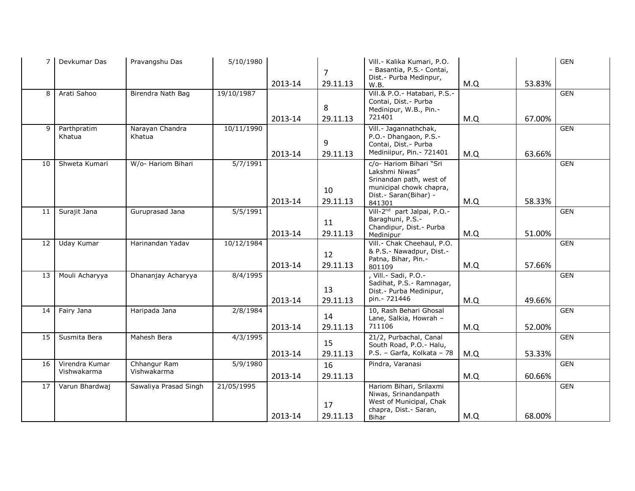| $\overline{7}$ | Devkumar Das                  | Pravangshu Das              | 5/10/1980  | 2013-14 | $\overline{7}$<br>29.11.13 | Vill - Kalika Kumari, P.O.<br>- Basantia, P.S.- Contai,<br>Dist.- Purba Medinpur,<br>W.B.                                           | M.Q | 53.83% | <b>GEN</b> |
|----------------|-------------------------------|-----------------------------|------------|---------|----------------------------|-------------------------------------------------------------------------------------------------------------------------------------|-----|--------|------------|
| 8              | Arati Sahoo                   | Birendra Nath Bag           | 19/10/1987 | 2013-14 | 8<br>29.11.13              | Vill.& P.O.- Hatabari, P.S.-<br>Contai, Dist. - Purba<br>Medinipur, W.B., Pin.-<br>721401                                           | M.Q | 67.00% | <b>GEN</b> |
| $\mathsf{q}$   | Parthpratim<br>Khatua         | Narayan Chandra<br>Khatua   | 10/11/1990 | 2013-14 | 9<br>29.11.13              | Vill .- Jagannathchak,<br>P.O. - Dhangaon, P.S. -<br>Contai, Dist. - Purba<br>Mediniipur, Pin. - 721401                             | M.Q | 63.66% | <b>GEN</b> |
| 10             | Shweta Kumari                 | W/o- Hariom Bihari          | 5/7/1991   | 2013-14 | 10<br>29.11.13             | c/o- Hariom Bihari "Sri<br>Lakshmi Niwas"<br>Srinandan path, west of<br>municipal chowk chapra,<br>Dist. - Saran(Bihar) -<br>841301 | M.Q | 58.33% | <b>GEN</b> |
| 11             | Surajit Jana                  | Guruprasad Jana             | 5/5/1991   | 2013-14 | 11<br>29.11.13             | Vill-2 <sup>nd</sup> part Jalpai, P.O.-<br>Baraghuni, P.S.-<br>Chandipur, Dist. - Purba<br>Medinipur                                | M.Q | 51.00% | <b>GEN</b> |
| 12             | Uday Kumar                    | Harinandan Yadav            | 10/12/1984 | 2013-14 | 12<br>29.11.13             | Vill - Chak Cheehaul, P.O.<br>& P.S.- Nawadpur, Dist.-<br>Patna, Bihar, Pin.-<br>801109                                             | M.Q | 57.66% | GEN        |
| 13             | Mouli Acharyya                | Dhananjay Acharyya          | 8/4/1995   | 2013-14 | 13<br>29.11.13             | , Vill. - Sadi, P.O. -<br>Sadihat, P.S. - Ramnagar,<br>Dist.- Purba Medinipur,<br>pin. - 721446                                     | M.Q | 49.66% | <b>GEN</b> |
| 14             | Fairy Jana                    | Haripada Jana               | 2/8/1984   | 2013-14 | 14<br>29.11.13             | 10, Rash Behari Ghosal<br>Lane, Salkia, Howrah -<br>711106                                                                          | M.Q | 52.00% | <b>GEN</b> |
| 15             | Susmita Bera                  | Mahesh Bera                 | 4/3/1995   | 2013-14 | 15<br>29.11.13             | 21/2, Purbachal, Canal<br>South Road, P.O. - Halu,<br>P.S. - Garfa, Kolkata - 78                                                    | M.Q | 53.33% | <b>GEN</b> |
| 16             | Virendra Kumar<br>Vishwakarma | Chhangur Ram<br>Vishwakarma | 5/9/1980   | 2013-14 | 16<br>29.11.13             | Pindra, Varanasi                                                                                                                    | M.Q | 60.66% | <b>GEN</b> |
| 17             | Varun Bhardwaj                | Sawaliya Prasad Singh       | 21/05/1995 | 2013-14 | 17<br>29.11.13             | Hariom Bihari, Srilaxmi<br>Niwas, Srinandanpath<br>West of Municipal, Chak<br>chapra, Dist. - Saran,<br>Bihar                       | M.Q | 68.00% | <b>GEN</b> |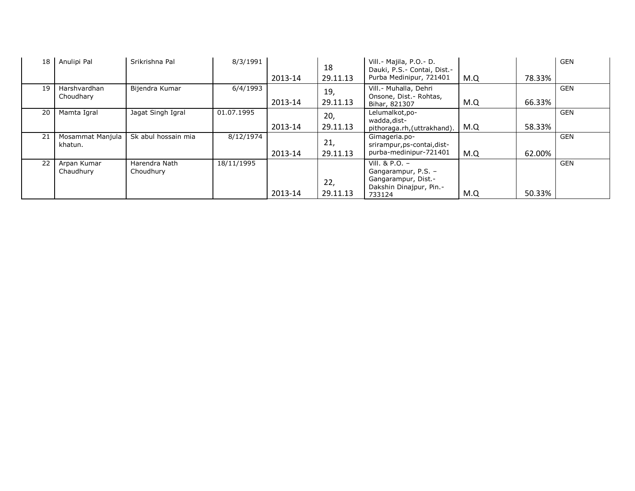| 18 | Anulipi Pal                 | Srikrishna Pal             | 8/3/1991   | 2013-14 | 18<br>29.11.13  | Vill. - Majila, P.O. - D.<br>Dauki, P.S. - Contai, Dist. -<br>Purba Medinipur, 721401               | M.Q | 78.33% | <b>GEN</b> |
|----|-----------------------------|----------------------------|------------|---------|-----------------|-----------------------------------------------------------------------------------------------------|-----|--------|------------|
| 19 | Harshvardhan<br>Choudhary   | Bijendra Kumar             | 6/4/1993   | 2013-14 | 19,<br>29.11.13 | Vill. - Muhalla, Dehri<br>Onsone, Dist. - Rohtas,<br>Bihar, 821307                                  | M.Q | 66.33% | <b>GEN</b> |
| 20 | Mamta Igral                 | Jagat Singh Igral          | 01.07.1995 | 2013-14 | 20,<br>29.11.13 | Lelumalkot, po-<br>wadda, dist-<br>pithoraga.rh, (uttrakhand).                                      | M.Q | 58.33% | <b>GEN</b> |
| 21 | Mosammat Manjula<br>khatun. | Sk abul hossain mia        | 8/12/1974  | 2013-14 | 21,<br>29.11.13 | Gimageria.po-<br>srirampur, ps-contai, dist-<br>purba-medinipur-721401                              | M.Q | 62.00% | <b>GEN</b> |
| 22 | Arpan Kumar<br>Chaudhury    | Harendra Nath<br>Choudhury | 18/11/1995 | 2013-14 | 22,<br>29.11.13 | Vill. & P.O. $-$<br>Gangarampur, P.S. -<br>Gangarampur, Dist.-<br>Dakshin Dinajpur, Pin.-<br>733124 | M.Q | 50.33% | <b>GEN</b> |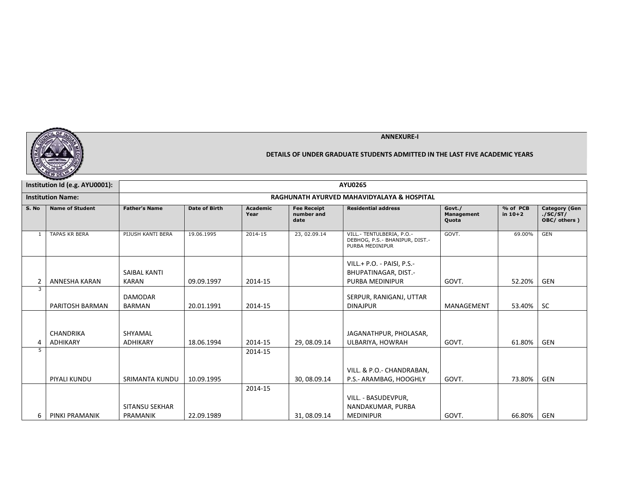

|              | Institution Id (e.g. AYU0001):      | <b>AYU0265</b>                  |                      |                         |                                          |                                                                                |                                      |                       |                                                   |  |
|--------------|-------------------------------------|---------------------------------|----------------------|-------------------------|------------------------------------------|--------------------------------------------------------------------------------|--------------------------------------|-----------------------|---------------------------------------------------|--|
|              | <b>Institution Name:</b>            |                                 |                      |                         |                                          | RAGHUNATH AYURVED MAHAVIDYALAYA & HOSPITAL                                     |                                      |                       |                                                   |  |
| S. No        | <b>Name of Student</b>              | <b>Father's Name</b>            | <b>Date of Birth</b> | <b>Academic</b><br>Year | <b>Fee Receipt</b><br>number and<br>date | <b>Residential address</b>                                                     | Govt./<br><b>Management</b><br>Quota | % of PCB<br>in $10+2$ | <b>Category (Gen</b><br>./SC/ST/<br>OBC/ others ) |  |
| $\mathbf{1}$ | <b>TAPAS KR BERA</b>                | PIJUSH KANTI BERA               | 19.06.1995           | 2014-15                 | 23, 02.09.14                             | VILL.- TENTULBERIA, P.O.-<br>DEBHOG, P.S.- BHANIPUR, DIST.-<br>PURBA MEDINIPUR | GOVT.                                | 69.00%                | <b>GEN</b>                                        |  |
| 2            | ANNESHA KARAN                       | SAIBAL KANTI<br><b>KARAN</b>    | 09.09.1997           | 2014-15                 |                                          | VILL.+ P.O. - PAISI, P.S.-<br>BHUPATINAGAR, DIST.-<br><b>PURBA MEDINIPUR</b>   | GOVT.                                | 52.20%                | GEN                                               |  |
| 3            | PARITOSH BARMAN                     | <b>DAMODAR</b><br><b>BARMAN</b> | 20.01.1991           | 2014-15                 |                                          | SERPUR, RANIGANJ, UTTAR<br><b>DINAJPUR</b>                                     | MANAGEMENT                           | 53.40%                | <b>SC</b>                                         |  |
| 4            | <b>CHANDRIKA</b><br><b>ADHIKARY</b> | SHYAMAL<br><b>ADHIKARY</b>      | 18.06.1994           | 2014-15                 | 29, 08.09.14                             | JAGANATHPUR, PHOLASAR,<br>ULBARIYA, HOWRAH                                     | GOVT.                                | 61.80%                | GEN                                               |  |
| 5            | PIYALI KUNDU                        | SRIMANTA KUNDU                  | 10.09.1995           | 2014-15                 | 30, 08.09.14                             | VILL. & P.O.- CHANDRABAN,<br>P.S.- ARAMBAG, HOOGHLY                            | GOVT.                                | 73.80%                | GEN                                               |  |
| 6            | PINKI PRAMANIK                      | SITANSU SEKHAR<br>PRAMANIK      | 22.09.1989           | 2014-15                 | 31, 08.09.14                             | VILL. - BASUDEVPUR,<br>NANDAKUMAR, PURBA<br><b>MEDINIPUR</b>                   | GOVT.                                | 66.80%                | GEN                                               |  |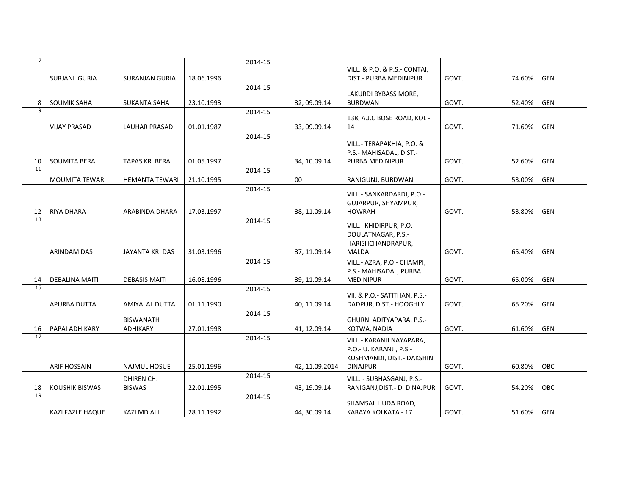| 7 <sup>7</sup> |                       |                       |            | 2014-15 |                |                                                      |       |        |            |
|----------------|-----------------------|-----------------------|------------|---------|----------------|------------------------------------------------------|-------|--------|------------|
|                |                       |                       |            |         |                | VILL. & P.O. & P.S.- CONTAI,                         |       |        |            |
|                | <b>SURJANI GURIA</b>  | <b>SURANJAN GURIA</b> | 18.06.1996 |         |                | DIST.- PURBA MEDINIPUR                               | GOVT. | 74.60% | GEN        |
|                |                       |                       |            | 2014-15 |                | LAKURDI BYBASS MORE,                                 |       |        |            |
| 8              | <b>SOUMIK SAHA</b>    | SUKANTA SAHA          | 23.10.1993 |         | 32, 09.09.14   | <b>BURDWAN</b>                                       | GOVT. | 52.40% | GEN        |
| $\mathbf{Q}$   |                       |                       |            | 2014-15 |                |                                                      |       |        |            |
|                |                       |                       |            |         |                | 138, A.J.C BOSE ROAD, KOL -                          |       |        |            |
|                | <b>VIJAY PRASAD</b>   | <b>LAUHAR PRASAD</b>  | 01.01.1987 |         | 33, 09.09.14   | 14                                                   | GOVT. | 71.60% | GEN        |
|                |                       |                       |            | 2014-15 |                |                                                      |       |        |            |
|                |                       |                       |            |         |                | VILL.- TERAPAKHIA, P.O. &<br>P.S.- MAHISADAL, DIST.- |       |        |            |
| 10             | <b>SOUMITA BERA</b>   | TAPAS KR. BERA        | 01.05.1997 |         | 34, 10.09.14   | PURBA MEDINIPUR                                      | GOVT. | 52.60% | <b>GEN</b> |
| 11             |                       |                       |            | 2014-15 |                |                                                      |       |        |            |
|                | <b>MOUMITA TEWARI</b> | <b>HEMANTA TEWARI</b> | 21.10.1995 |         | 00             | RANIGUNJ, BURDWAN                                    | GOVT. | 53.00% | <b>GEN</b> |
|                |                       |                       |            | 2014-15 |                |                                                      |       |        |            |
|                |                       |                       |            |         |                | VILL.- SANKARDARDI, P.O.-                            |       |        |            |
|                |                       |                       |            |         |                | GUJARPUR, SHYAMPUR,                                  |       |        |            |
| 12<br>13       | RIYA DHARA            | ARABINDA DHARA        | 17.03.1997 |         | 38, 11.09.14   | HOWRAH                                               | GOVT. | 53.80% | GEN        |
|                |                       |                       |            | 2014-15 |                | VILL.- KHIDIRPUR, P.O.-                              |       |        |            |
|                |                       |                       |            |         |                | DOULATNAGAR, P.S.-                                   |       |        |            |
|                |                       |                       |            |         |                | HARISHCHANDRAPUR,                                    |       |        |            |
|                | <b>ARINDAM DAS</b>    | JAYANTA KR. DAS       | 31.03.1996 |         | 37, 11.09.14   | <b>MALDA</b>                                         | GOVT. | 65.40% | GEN        |
|                |                       |                       |            | 2014-15 |                | VILL.- AZRA, P.O.- CHAMPI,                           |       |        |            |
|                |                       |                       |            |         |                | P.S.- MAHISADAL, PURBA                               |       |        |            |
| 14             | <b>DEBALINA MAITI</b> | <b>DEBASIS MAITI</b>  | 16.08.1996 |         | 39, 11.09.14   | <b>MEDINIPUR</b>                                     | GOVT. | 65.00% | GEN        |
| 15             |                       |                       |            | 2014-15 |                | VII. & P.O.- SATITHAN, P.S.-                         |       |        |            |
|                | APURBA DUTTA          | AMIYALAL DUTTA        | 01.11.1990 |         | 40, 11.09.14   | DADPUR, DIST.- HOOGHLY                               | GOVT. | 65.20% | GEN        |
|                |                       |                       |            | 2014-15 |                |                                                      |       |        |            |
|                |                       | <b>BISWANATH</b>      |            |         |                | GHURNI ADITYAPARA, P.S.-                             |       |        |            |
| 16             | PAPAI ADHIKARY        | ADHIKARY              | 27.01.1998 |         | 41, 12.09.14   | KOTWA, NADIA                                         | GOVT. | 61.60% | GEN        |
| 17             |                       |                       |            | 2014-15 |                | VILL.- KARANJI NAYAPARA,                             |       |        |            |
|                |                       |                       |            |         |                | P.O.- U. KARANJI, P.S.-                              |       |        |            |
|                |                       |                       |            |         |                | KUSHMANDI, DIST.- DAKSHIN                            |       |        |            |
|                | <b>ARIF HOSSAIN</b>   | <b>NAJMUL HOSUE</b>   | 25.01.1996 |         | 42, 11.09.2014 | <b>DINAJPUR</b>                                      | GOVT. | 60.80% | OBC        |
|                |                       | DHIREN CH.            |            | 2014-15 |                | VILL. - SUBHASGANJ, P.S.-                            |       |        |            |
| 18             | <b>KOUSHIK BISWAS</b> | <b>BISWAS</b>         | 22.01.1995 |         | 43, 19.09.14   | RANIGANJ, DIST. - D. DINAJPUR                        | GOVT. | 54.20% | OBC        |
| 19             |                       |                       |            | 2014-15 |                |                                                      |       |        |            |
|                |                       |                       |            |         |                | SHAMSAL HUDA ROAD,                                   |       |        |            |
|                | KAZI FAZLE HAQUE      | KAZI MD ALI           | 28.11.1992 |         | 44, 30.09.14   | KARAYA KOLKATA - 17                                  | GOVT. | 51.60% | GEN        |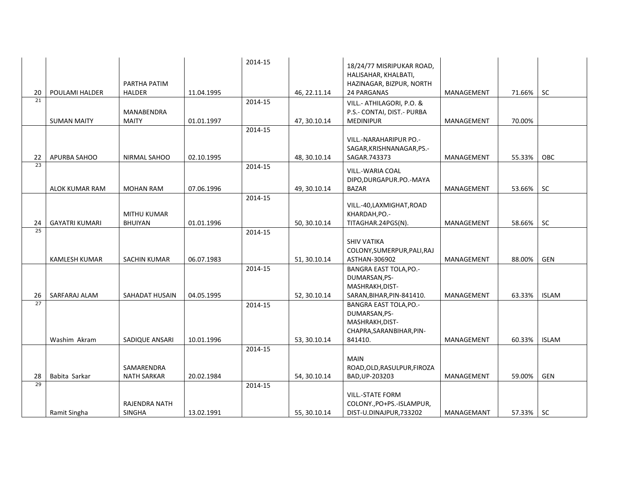|                       |                       |                       |            | 2014-15 |              | 18/24/77 MISRIPUKAR ROAD,<br>HALISAHAR, KHALBATI, |                   |        |              |
|-----------------------|-----------------------|-----------------------|------------|---------|--------------|---------------------------------------------------|-------------------|--------|--------------|
|                       |                       | PARTHA PATIM          |            |         |              | HAZINAGAR, BIZPUR, NORTH                          |                   |        |              |
| 20<br>$\overline{21}$ | POULAMI HALDER        | <b>HALDER</b>         | 11.04.1995 |         | 46, 22.11.14 | 24 PARGANAS                                       | MANAGEMENT        | 71.66% | <b>SC</b>    |
|                       |                       |                       |            | 2014-15 |              | VILL.- ATHILAGORI, P.O. &                         |                   |        |              |
|                       |                       | MANABENDRA            |            |         |              | P.S.- CONTAI, DIST.- PURBA                        |                   |        |              |
|                       | <b>SUMAN MAITY</b>    | <b>MAITY</b>          | 01.01.1997 | 2014-15 | 47, 30.10.14 | <b>MEDINIPUR</b>                                  | MANAGEMENT        | 70.00% |              |
|                       |                       |                       |            |         |              | <b>VILL.-NARAHARIPUR PO.-</b>                     |                   |        |              |
|                       |                       |                       |            |         |              | SAGAR, KRISHNANAGAR, PS.-                         |                   |        |              |
| 22                    | APURBA SAHOO          | NIRMAL SAHOO          | 02.10.1995 |         | 48, 30.10.14 | SAGAR.743373                                      | MANAGEMENT        | 55.33% | <b>OBC</b>   |
| $\overline{23}$       |                       |                       |            | 2014-15 |              |                                                   |                   |        |              |
|                       |                       |                       |            |         |              | VILL.-WARIA COAL                                  |                   |        |              |
|                       | ALOK KUMAR RAM        | <b>MOHAN RAM</b>      | 07.06.1996 |         |              | DIPO, DURGAPUR. PO. - MAYA                        | MANAGEMENT        | 53.66% | <b>SC</b>    |
|                       |                       |                       |            | 2014-15 | 49, 30.10.14 | <b>BAZAR</b>                                      |                   |        |              |
|                       |                       |                       |            |         |              | VILL.-40, LAXMIGHAT, ROAD                         |                   |        |              |
|                       |                       | MITHU KUMAR           |            |         |              | KHARDAH, PO.-                                     |                   |        |              |
| 24                    | <b>GAYATRI KUMARI</b> | BHUIYAN               | 01.01.1996 |         | 50, 30.10.14 | TITAGHAR.24PGS(N).                                | MANAGEMENT        | 58.66% | <b>SC</b>    |
| 25                    |                       |                       |            | 2014-15 |              |                                                   |                   |        |              |
|                       |                       |                       |            |         |              | <b>SHIV VATIKA</b>                                |                   |        |              |
|                       |                       |                       |            |         |              | COLONY, SUMERPUR, PALI, RAJ                       |                   |        |              |
|                       | <b>KAMLESH KUMAR</b>  | <b>SACHIN KUMAR</b>   | 06.07.1983 |         | 51, 30.10.14 | ASTHAN-306902                                     | MANAGEMENT        | 88.00% | <b>GEN</b>   |
|                       |                       |                       |            | 2014-15 |              | <b>BANGRA EAST TOLA, PO.-</b>                     |                   |        |              |
|                       |                       |                       |            |         |              | DUMARSAN, PS-                                     |                   |        |              |
| 26                    | SARFARAJ ALAM         | <b>SAHADAT HUSAIN</b> | 04.05.1995 |         | 52, 30.10.14 | MASHRAKH, DIST-<br>SARAN, BIHAR, PIN-841410.      | <b>MANAGEMENT</b> | 63.33% | <b>ISLAM</b> |
| 27                    |                       |                       |            | 2014-15 |              | <b>BANGRA EAST TOLA, PO.-</b>                     |                   |        |              |
|                       |                       |                       |            |         |              | DUMARSAN, PS-                                     |                   |        |              |
|                       |                       |                       |            |         |              | MASHRAKH, DIST-                                   |                   |        |              |
|                       |                       |                       |            |         |              | CHAPRA, SARAN BIHAR, PIN-                         |                   |        |              |
|                       | Washim Akram          | SADIQUE ANSARI        | 10.01.1996 |         | 53, 30.10.14 | 841410.                                           | <b>MANAGEMENT</b> | 60.33% | <b>ISLAM</b> |
|                       |                       |                       |            | 2014-15 |              |                                                   |                   |        |              |
|                       |                       |                       |            |         |              | <b>MAIN</b>                                       |                   |        |              |
|                       |                       | SAMARENDRA            |            |         |              | ROAD, OLD, RASULPUR, FIROZA                       |                   |        |              |
| 28                    | Babita Sarkar         | <b>NATH SARKAR</b>    | 20.02.1984 |         | 54, 30.10.14 | BAD, UP-203203                                    | MANAGEMENT        | 59.00% | GEN          |
| 29                    |                       |                       |            | 2014-15 |              |                                                   |                   |        |              |
|                       |                       |                       |            |         |              | <b>VILL.-STATE FORM</b>                           |                   |        |              |
|                       |                       | RAJENDRA NATH         |            |         |              | COLONY., PO+PS.-ISLAMPUR,                         |                   |        |              |
|                       | Ramit Singha          | SINGHA                | 13.02.1991 |         | 55, 30.10.14 | DIST-U.DINAJPUR,733202                            | MANAGEMANT        | 57.33% | - SC         |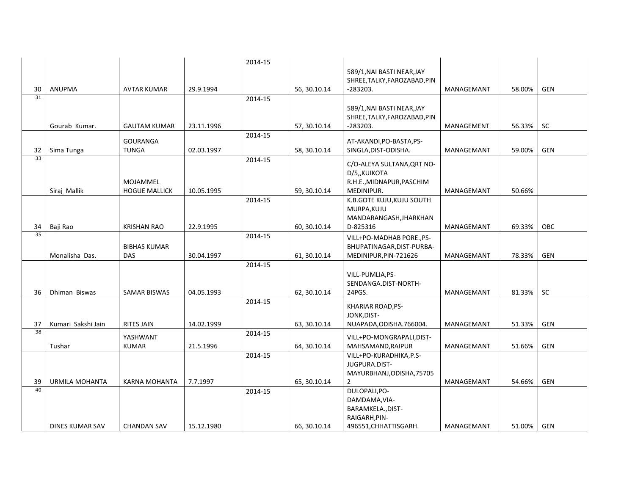|                 |                       |                      |            | 2014-15 |              |                              |            |        |            |
|-----------------|-----------------------|----------------------|------------|---------|--------------|------------------------------|------------|--------|------------|
|                 |                       |                      |            |         |              | 589/1, NAI BASTI NEAR, JAY   |            |        |            |
|                 |                       |                      |            |         |              | SHREE, TALKY, FAROZABAD, PIN |            |        |            |
| 30              | <b>ANUPMA</b>         | <b>AVTAR KUMAR</b>   | 29.9.1994  |         | 56, 30.10.14 | $-283203.$                   | MANAGEMANT | 58.00% | <b>GEN</b> |
| $\overline{31}$ |                       |                      |            | 2014-15 |              |                              |            |        |            |
|                 |                       |                      |            |         |              | 589/1, NAI BASTI NEAR, JAY   |            |        |            |
|                 |                       |                      |            |         |              | SHREE, TALKY, FAROZABAD, PIN |            |        |            |
|                 | Gourab Kumar.         | <b>GAUTAM KUMAR</b>  | 23.11.1996 |         | 57, 30.10.14 | $-283203.$                   | MANAGEMENT | 56.33% | <b>SC</b>  |
|                 |                       |                      |            | 2014-15 |              |                              |            |        |            |
|                 |                       | <b>GOURANGA</b>      |            |         |              | AT-AKANDI, PO-BASTA, PS-     |            |        |            |
| 32<br>33        | Sima Tunga            | <b>TUNGA</b>         | 02.03.1997 |         | 58, 30.10.14 | SINGLA, DIST-ODISHA.         | MANAGEMANT | 59.00% | GEN        |
|                 |                       |                      |            | 2014-15 |              | C/O-ALEYA SULTANA, QRT NO-   |            |        |            |
|                 |                       |                      |            |         |              | D/5, KUIKOTA                 |            |        |            |
|                 |                       | MOJAMMEL             |            |         |              | R.H.E., MIDNAPUR, PASCHIM    |            |        |            |
|                 | Siraj Mallik          | <b>HOGUE MALLICK</b> | 10.05.1995 |         | 59, 30.10.14 | MEDINIPUR.                   | MANAGEMANT | 50.66% |            |
|                 |                       |                      |            | 2014-15 |              | K.B.GOTE KUJU, KUJU SOUTH    |            |        |            |
|                 |                       |                      |            |         |              | MURPA, KUJU                  |            |        |            |
|                 |                       |                      |            |         |              | MANDARANGASH, JHARKHAN       |            |        |            |
| 34<br>35        | Baji Rao              | <b>KRISHAN RAO</b>   | 22.9.1995  |         | 60, 30.10.14 | D-825316                     | MANAGEMANT | 69.33% | <b>OBC</b> |
|                 |                       |                      |            | 2014-15 |              | VILL+PO-MADHAB PORE., PS-    |            |        |            |
|                 |                       | <b>BIBHAS KUMAR</b>  |            |         |              | BHUPATINAGAR, DIST-PURBA-    |            |        |            |
|                 | Monalisha Das.        | <b>DAS</b>           | 30.04.1997 |         | 61, 30.10.14 | MEDINIPUR, PIN-721626        | MANAGEMANT | 78.33% | <b>GEN</b> |
|                 |                       |                      |            | 2014-15 |              |                              |            |        |            |
|                 |                       |                      |            |         |              | VILL-PUMLIA, PS-             |            |        |            |
|                 |                       |                      |            |         |              | SENDANGA.DIST-NORTH-         |            |        |            |
| 36              | Dhiman Biswas         | <b>SAMAR BISWAS</b>  | 04.05.1993 |         | 62, 30.10.14 | 24PGS.                       | MANAGEMANT | 81.33% | <b>SC</b>  |
|                 |                       |                      |            | 2014-15 |              | KHARIAR ROAD, PS-            |            |        |            |
|                 |                       |                      |            |         |              | JONK, DIST-                  |            |        |            |
| 37              | Kumari Sakshi Jain    | <b>RITES JAIN</b>    | 14.02.1999 |         | 63, 30.10.14 | NUAPADA, ODISHA. 766004.     | MANAGEMANT | 51.33% | GEN        |
| $\overline{38}$ |                       | YASHWANT             |            | 2014-15 |              | VILL+PO-MONGRAPALI, DIST-    |            |        |            |
|                 | Tushar                | <b>KUMAR</b>         | 21.5.1996  |         | 64, 30.10.14 | MAHSAMAND, RAIPUR            | MANAGEMANT | 51.66% | <b>GEN</b> |
|                 |                       |                      |            | 2014-15 |              | VILL+PO-KURADHIKA, P.S-      |            |        |            |
|                 |                       |                      |            |         |              | JUGPURA.DIST-                |            |        |            |
|                 |                       |                      |            |         |              | MAYURBHANJ, ODISHA, 75705    |            |        |            |
| 39              | <b>URMILA MOHANTA</b> | KARNA MOHANTA        | 7.7.1997   |         | 65, 30.10.14 | 2                            | MANAGEMANT | 54.66% | <b>GEN</b> |
| 40              |                       |                      |            | 2014-15 |              | DULOPALI, PO-                |            |        |            |
|                 |                       |                      |            |         |              | DAMDAMA, VIA-                |            |        |            |
|                 |                       |                      |            |         |              | BARAMKELA., DIST-            |            |        |            |
|                 |                       |                      |            |         |              | RAIGARH, PIN-                |            |        |            |
|                 | DINES KUMAR SAV       | <b>CHANDAN SAV</b>   | 15.12.1980 |         | 66, 30.10.14 | 496551, CHHATTISGARH.        | MANAGEMANT | 51.00% | GEN        |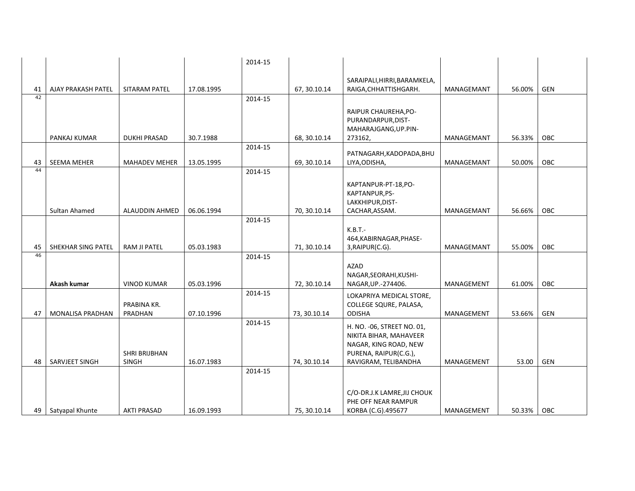|    |                         |                               |            | 2014-15 |              |                                                                                                                                 |            |        |            |
|----|-------------------------|-------------------------------|------------|---------|--------------|---------------------------------------------------------------------------------------------------------------------------------|------------|--------|------------|
| 41 | AJAY PRAKASH PATEL      | SITARAM PATEL                 | 17.08.1995 |         | 67, 30.10.14 | SARAIPALI, HIRRI, BARAMKELA,<br>RAIGA, CHHATTISHGARH.                                                                           | MANAGEMANT | 56.00% | GEN        |
| 42 |                         |                               |            | 2014-15 |              |                                                                                                                                 |            |        |            |
|    |                         |                               |            |         |              | RAIPUR CHAUREHA, PO-<br>PURANDARPUR, DIST-<br>MAHARAJGANG, UP.PIN-                                                              |            |        |            |
|    | PANKAJ KUMAR            | <b>DUKHI PRASAD</b>           | 30.7.1988  |         | 68, 30.10.14 | 273162,                                                                                                                         | MANAGEMANT | 56.33% | OBC        |
| 43 | <b>SEEMA MEHER</b>      | <b>MAHADEV MEHER</b>          | 13.05.1995 | 2014-15 | 69, 30.10.14 | PATNAGARH, KADOPADA, BHU<br>LIYA, ODISHA,                                                                                       | MANAGEMANT | 50.00% | OBC        |
| 44 |                         |                               |            | 2014-15 |              |                                                                                                                                 |            |        |            |
|    |                         |                               |            |         |              | KAPTANPUR-PT-18, PO-<br>KAPTANPUR, PS-<br>LAKKHIPUR, DIST-                                                                      |            |        |            |
|    | Sultan Ahamed           | ALAUDDIN AHMED                | 06.06.1994 | 2014-15 | 70, 30.10.14 | CACHAR, ASSAM.                                                                                                                  | MANAGEMANT | 56.66% | OBC        |
| 45 | SHEKHAR SING PATEL      | RAM JI PATEL                  | 05.03.1983 |         | 71, 30.10.14 | $K.B.T.-$<br>464, KABIRNAGAR, PHASE-<br>3, RAIPUR(C.G).                                                                         | MANAGEMANT | 55.00% | OBC        |
| 46 |                         |                               |            | 2014-15 |              |                                                                                                                                 |            |        |            |
|    | Akash kumar             | <b>VINOD KUMAR</b>            | 05.03.1996 |         | 72, 30.10.14 | AZAD<br>NAGAR, SEORAHI, KUSHI-<br>NAGAR, UP.-274406.                                                                            | MANAGEMENT | 61.00% | <b>OBC</b> |
| 47 | <b>MONALISA PRADHAN</b> | PRABINA KR.<br>PRADHAN        | 07.10.1996 | 2014-15 | 73, 30.10.14 | LOKAPRIYA MEDICAL STORE,<br>COLLEGE SQURE, PALASA,<br><b>ODISHA</b>                                                             | MANAGEMENT | 53.66% | GEN        |
| 48 | SARVJEET SINGH          | <b>SHRI BRIJBHAN</b><br>SINGH | 16.07.1983 | 2014-15 | 74, 30.10.14 | H. NO. - 06, STREET NO. 01,<br>NIKITA BIHAR, MAHAVEER<br>NAGAR, KING ROAD, NEW<br>PURENA, RAIPUR(C.G.),<br>RAVIGRAM, TELIBANDHA | MANAGEMENT | 53.00  | GEN        |
|    |                         |                               |            | 2014-15 |              |                                                                                                                                 |            |        |            |
| 49 | Satyapal Khunte         | <b>AKTI PRASAD</b>            | 16.09.1993 |         | 75, 30.10.14 | C/O-DR.J.K LAMRE, JIJ CHOUK<br>PHE OFF NEAR RAMPUR<br>KORBA (C.G).495677                                                        | MANAGEMENT | 50.33% | OBC        |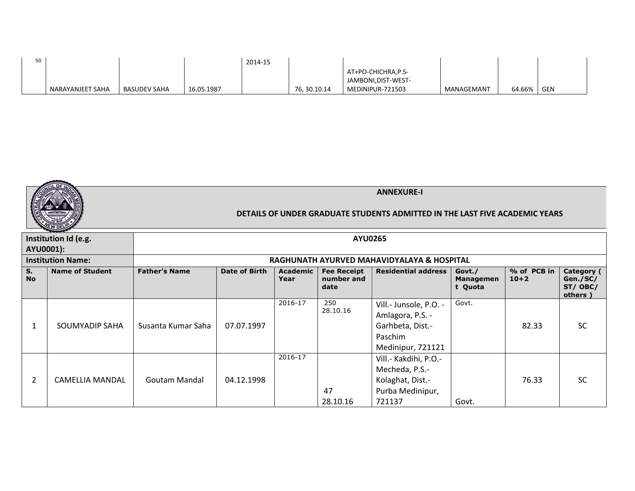| 50 |                  |              |            | 2014-15 |             |                     |            |        |            |
|----|------------------|--------------|------------|---------|-------------|---------------------|------------|--------|------------|
|    |                  |              |            |         |             | AT+PO-CHICHRA,P.S-  |            |        |            |
|    |                  |              |            |         |             | JAMBONI, DIST-WEST- |            |        |            |
|    | NARAYANJEET SAHA | BASUDEV SAHA | 16.05.1987 |         | 76.30.10.14 | MEDINIPUR-721503    | MANAGEMANT | 64.66% | <b>GEN</b> |

|                      |                          |                      |                                            |                         |                                          | <b>ANNEXURE-I</b><br>DETAILS OF UNDER GRADUATE STUDENTS ADMITTED IN THE LAST FIVE ACADEMIC YEARS |                                       |                       |                                               |  |  |  |
|----------------------|--------------------------|----------------------|--------------------------------------------|-------------------------|------------------------------------------|--------------------------------------------------------------------------------------------------|---------------------------------------|-----------------------|-----------------------------------------------|--|--|--|
| AYU0001):            | Institution Id (e.g.     |                      |                                            |                         | <b>AYU0265</b>                           |                                                                                                  |                                       |                       |                                               |  |  |  |
|                      | <b>Institution Name:</b> |                      | RAGHUNATH AYURVED MAHAVIDYALAYA & HOSPITAL |                         |                                          |                                                                                                  |                                       |                       |                                               |  |  |  |
| $S_{1}$<br><b>No</b> | <b>Name of Student</b>   | <b>Father's Name</b> | Date of Birth                              | <b>Academic</b><br>Year | <b>Fee Receipt</b><br>number and<br>date | <b>Residential address</b>                                                                       | Govt./<br><b>Managemen</b><br>t Quota | % of PCB in<br>$10+2$ | Category (<br>Gen./SC/<br>ST/ OBC/<br>others) |  |  |  |
| 1                    | SOUMYADIP SAHA           | Susanta Kumar Saha   | 07.07.1997                                 | 2016-17                 | 250<br>28.10.16                          | Vill.- Junsole, P.O. -<br>Amlagora, P.S. -<br>Garhbeta, Dist.-<br>Paschim<br>Medinipur, 721121   | Govt.                                 | 82.33                 | <b>SC</b>                                     |  |  |  |
| $\overline{2}$       | <b>CAMELLIA MANDAL</b>   | Goutam Mandal        | 04.12.1998                                 | 2016-17                 | 47<br>28.10.16                           | Vill.- Kakdihi, P.O.-<br>Mecheda, P.S.-<br>Kolaghat, Dist.-<br>Purba Medinipur,<br>721137        | Govt.                                 | 76.33                 | <b>SC</b>                                     |  |  |  |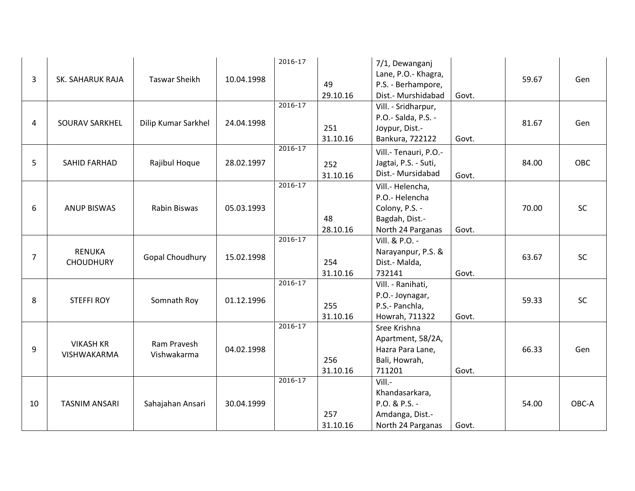| 3              | SK. SAHARUK RAJA                  | <b>Taswar Sheikh</b>       | 10.04.1998 | 2016-17     | 49<br>29.10.16  | 7/1, Dewanganj<br>Lane, P.O.- Khagra,<br>P.S. - Berhampore,<br>Dist.- Murshidabad           | Govt. | 59.67 | Gen   |
|----------------|-----------------------------------|----------------------------|------------|-------------|-----------------|---------------------------------------------------------------------------------------------|-------|-------|-------|
| 4              | SOURAV SARKHEL                    | Dilip Kumar Sarkhel        | 24.04.1998 | $2016 - 17$ | 251<br>31.10.16 | Vill. - Sridharpur,<br>P.O.- Salda, P.S. -<br>Joypur, Dist.-<br>Bankura, 722122             | Govt. | 81.67 | Gen   |
| 5              | <b>SAHID FARHAD</b>               | Rajibul Hoque              | 28.02.1997 | $2016 - 17$ | 252<br>31.10.16 | Vill.- Tenauri, P.O.-<br>Jagtai, P.S. - Suti,<br>Dist.- Mursidabad                          | Govt. | 84.00 | OBC   |
| 6              | <b>ANUP BISWAS</b>                | Rabin Biswas               | 05.03.1993 | $2016 - 17$ | 48<br>28.10.16  | Vill.- Helencha,<br>P.O.- Helencha<br>Colony, P.S. -<br>Bagdah, Dist.-<br>North 24 Parganas | Govt. | 70.00 | SC    |
| $\overline{7}$ | <b>RENUKA</b><br><b>CHOUDHURY</b> | Gopal Choudhury            | 15.02.1998 | 2016-17     | 254<br>31.10.16 | Vill. & P.O. -<br>Narayanpur, P.S. &<br>Dist.- Malda,<br>732141                             | Govt. | 63.67 | SC    |
| 8              | <b>STEFFI ROY</b>                 | Somnath Roy                | 01.12.1996 | 2016-17     | 255<br>31.10.16 | Vill. - Ranihati,<br>P.O.- Joynagar,<br>P.S.- Panchla,<br>Howrah, 711322                    | Govt. | 59.33 | SC    |
| 9              | <b>VIKASH KR</b><br>VISHWAKARMA   | Ram Pravesh<br>Vishwakarma | 04.02.1998 | $2016 - 17$ | 256<br>31.10.16 | Sree Krishna<br>Apartment, 58/2A,<br>Hazra Para Lane,<br>Bali, Howrah,<br>711201            | Govt. | 66.33 | Gen   |
| 10             | <b>TASNIM ANSARI</b>              | Sahajahan Ansari           | 30.04.1999 | $2016 - 17$ | 257<br>31.10.16 | Vill.-<br>Khandasarkara,<br>P.O. & P.S. -<br>Amdanga, Dist.-<br>North 24 Parganas           | Govt. | 54.00 | OBC-A |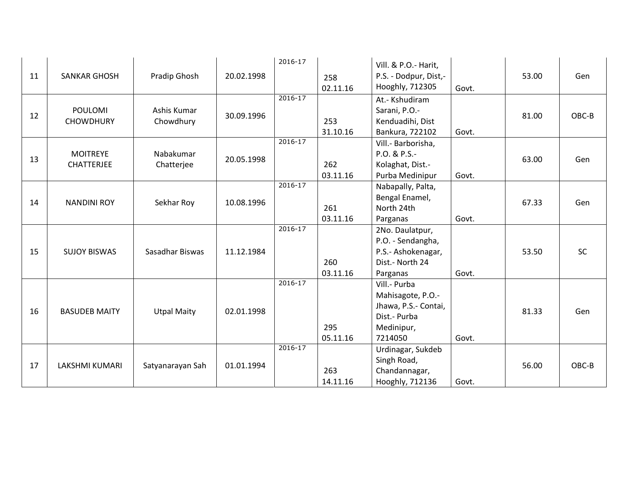| 11 | <b>SANKAR GHOSH</b>                  | Pradip Ghosh             | 20.02.1998 | 2016-17     | 258<br>02.11.16 | Vill. & P.O.- Harit,<br>P.S. - Dodpur, Dist,-<br>Hooghly, 712305                                   | Govt. | 53.00 | Gen   |
|----|--------------------------------------|--------------------------|------------|-------------|-----------------|----------------------------------------------------------------------------------------------------|-------|-------|-------|
| 12 | <b>POULOMI</b><br><b>CHOWDHURY</b>   | Ashis Kumar<br>Chowdhury | 30.09.1996 | $2016 - 17$ | 253<br>31.10.16 | At.- Kshudiram<br>Sarani, P.O.-<br>Kenduadihi, Dist<br>Bankura, 722102                             | Govt. | 81.00 | OBC-B |
| 13 | <b>MOITREYE</b><br><b>CHATTERJEE</b> | Nabakumar<br>Chatterjee  | 20.05.1998 | $2016 - 17$ | 262<br>03.11.16 | Vill.- Barborisha,<br>P.O. & P.S.-<br>Kolaghat, Dist.-<br>Purba Medinipur                          | Govt. | 63.00 | Gen   |
| 14 | <b>NANDINI ROY</b>                   | Sekhar Roy               | 10.08.1996 | $2016 - 17$ | 261<br>03.11.16 | Nabapally, Palta,<br>Bengal Enamel,<br>North 24th<br>Parganas                                      | Govt. | 67.33 | Gen   |
| 15 | <b>SUJOY BISWAS</b>                  | Sasadhar Biswas          | 11.12.1984 | 2016-17     | 260<br>03.11.16 | 2No. Daulatpur,<br>P.O. - Sendangha,<br>P.S.- Ashokenagar,<br>Dist.- North 24<br>Parganas          | Govt. | 53.50 | SC    |
| 16 | <b>BASUDEB MAITY</b>                 | <b>Utpal Maity</b>       | 02.01.1998 | $2016 - 17$ | 295<br>05.11.16 | Vill.- Purba<br>Mahisagote, P.O.-<br>Jhawa, P.S.- Contai,<br>Dist.- Purba<br>Medinipur,<br>7214050 | Govt. | 81.33 | Gen   |
| 17 | <b>LAKSHMI KUMARI</b>                | Satyanarayan Sah         | 01.01.1994 | $2016 - 17$ | 263<br>14.11.16 | Urdinagar, Sukdeb<br>Singh Road,<br>Chandannagar,<br>Hooghly, 712136                               | Govt. | 56.00 | OBC-B |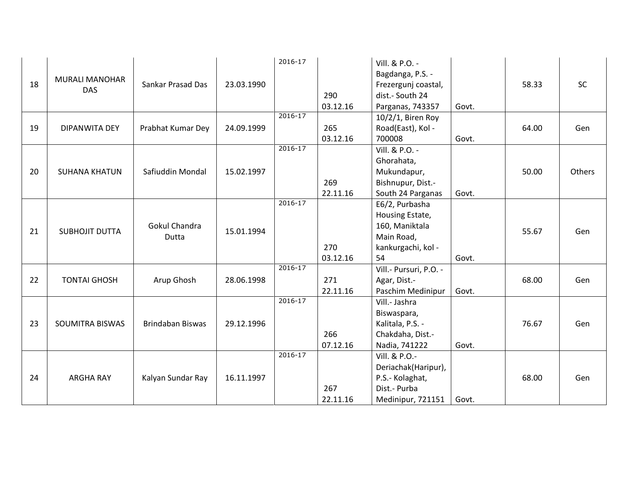|    |                       |                         |            | 2016-17     |          | Vill. & P.O. -                      |       |       |        |
|----|-----------------------|-------------------------|------------|-------------|----------|-------------------------------------|-------|-------|--------|
|    |                       |                         |            |             |          | Bagdanga, P.S. -                    |       |       |        |
| 18 | <b>MURALI MANOHAR</b> | Sankar Prasad Das       | 23.03.1990 |             |          | Frezergunj coastal,                 |       | 58.33 | SC     |
|    | <b>DAS</b>            |                         |            |             | 290      | dist.- South 24                     |       |       |        |
|    |                       |                         |            |             | 03.12.16 | Parganas, 743357                    | Govt. |       |        |
|    |                       |                         |            | $2016 - 17$ |          | $10/2/1$ , Biren Roy                |       |       |        |
| 19 | DIPANWITA DEY         | Prabhat Kumar Dey       | 24.09.1999 |             | 265      | Road(East), Kol -                   |       | 64.00 | Gen    |
|    |                       |                         |            |             | 03.12.16 | 700008                              | Govt. |       |        |
|    |                       |                         |            | $2016 - 17$ |          | Vill. & P.O. -                      |       |       |        |
|    |                       |                         |            |             |          | Ghorahata,                          |       |       |        |
| 20 | <b>SUHANA KHATUN</b>  | Safiuddin Mondal        | 15.02.1997 |             |          | Mukundapur,                         |       | 50.00 | Others |
|    |                       |                         |            |             | 269      | Bishnupur, Dist.-                   |       |       |        |
|    |                       |                         |            |             | 22.11.16 |                                     | Govt. |       |        |
|    |                       |                         |            | $2016 - 17$ |          | South 24 Parganas<br>E6/2, Purbasha |       |       |        |
|    |                       |                         |            |             |          |                                     |       |       |        |
|    |                       |                         |            |             |          | Housing Estate,                     |       |       |        |
| 21 | <b>SUBHOJIT DUTTA</b> | Gokul Chandra           | 15.01.1994 |             |          | 160, Maniktala                      |       | 55.67 | Gen    |
|    |                       | Dutta                   |            |             |          | Main Road,                          |       |       |        |
|    |                       |                         |            |             | 270      | kankurgachi, kol -                  |       |       |        |
|    |                       |                         |            | $2016 - 17$ | 03.12.16 | 54                                  | Govt. |       |        |
|    |                       |                         |            |             |          | Vill.- Pursuri, P.O. -              |       |       |        |
| 22 | <b>TONTAI GHOSH</b>   | Arup Ghosh              | 28.06.1998 |             | 271      | Agar, Dist.-                        |       | 68.00 | Gen    |
|    |                       |                         |            |             | 22.11.16 | Paschim Medinipur                   | Govt. |       |        |
|    |                       |                         |            | $2016 - 17$ |          | Vill.- Jashra                       |       |       |        |
|    |                       |                         |            |             |          | Biswaspara,                         |       |       |        |
| 23 | SOUMITRA BISWAS       | <b>Brindaban Biswas</b> | 29.12.1996 |             |          | Kalitala, P.S. -                    |       | 76.67 | Gen    |
|    |                       |                         |            |             | 266      | Chakdaha, Dist.-                    |       |       |        |
|    |                       |                         |            |             | 07.12.16 | Nadia, 741222                       | Govt. |       |        |
|    |                       |                         |            | 2016-17     |          | Vill. & P.O.-                       |       |       |        |
|    |                       |                         |            |             |          | Deriachak(Haripur),                 |       |       |        |
| 24 | <b>ARGHA RAY</b>      | Kalyan Sundar Ray       | 16.11.1997 |             |          | P.S.- Kolaghat,                     |       | 68.00 | Gen    |
|    |                       |                         |            |             | 267      | Dist.- Purba                        |       |       |        |
|    |                       |                         |            |             | 22.11.16 | Medinipur, 721151                   | Govt. |       |        |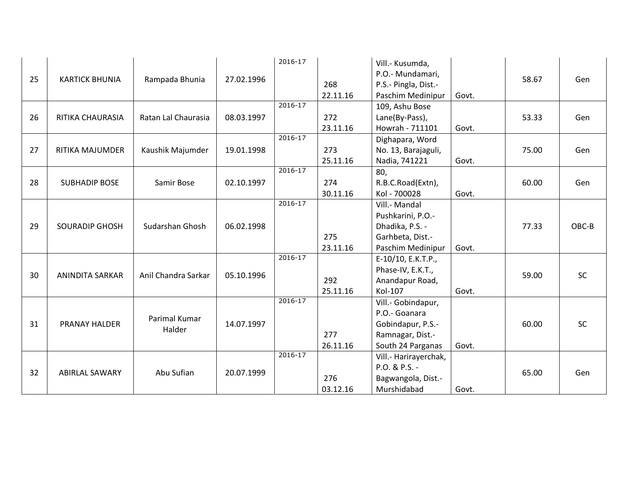|    |                        |                     |            | 2016-17     |          | Vill.- Kusumda,       |       |       |           |
|----|------------------------|---------------------|------------|-------------|----------|-----------------------|-------|-------|-----------|
|    |                        |                     |            |             |          | P.O.- Mundamari,      |       |       |           |
| 25 | <b>KARTICK BHUNIA</b>  | Rampada Bhunia      | 27.02.1996 |             | 268      | P.S.- Pingla, Dist.-  |       | 58.67 | Gen       |
|    |                        |                     |            |             | 22.11.16 | Paschim Medinipur     | Govt. |       |           |
|    |                        |                     |            | $2016 - 17$ |          | 109, Ashu Bose        |       |       |           |
| 26 | RITIKA CHAURASIA       | Ratan Lal Chaurasia | 08.03.1997 |             | 272      | Lane(By-Pass),        |       | 53.33 | Gen       |
|    |                        |                     |            |             | 23.11.16 | Howrah - 711101       | Govt. |       |           |
|    |                        |                     |            | $2016 - 17$ |          | Dighapara, Word       |       |       |           |
| 27 | RITIKA MAJUMDER        | Kaushik Majumder    | 19.01.1998 |             | 273      | No. 13, Barajaguli,   |       | 75.00 | Gen       |
|    |                        |                     |            |             | 25.11.16 | Nadia, 741221         | Govt. |       |           |
|    |                        |                     |            | $2016 - 17$ |          | 80,                   |       |       |           |
| 28 | <b>SUBHADIP BOSE</b>   | Samir Bose          | 02.10.1997 |             | 274      | R.B.C.Road(Extn),     |       | 60.00 | Gen       |
|    |                        |                     |            |             | 30.11.16 | Kol - 700028          | Govt. |       |           |
|    |                        |                     |            | $2016 - 17$ |          | Vill.- Mandal         |       |       |           |
|    |                        |                     |            |             |          | Pushkarini, P.O.-     |       |       |           |
| 29 | <b>SOURADIP GHOSH</b>  | Sudarshan Ghosh     | 06.02.1998 |             |          | Dhadika, P.S. -       |       | 77.33 | OBC-B     |
|    |                        |                     |            |             | 275      | Garhbeta, Dist.-      |       |       |           |
|    |                        |                     |            |             | 23.11.16 | Paschim Medinipur     | Govt. |       |           |
|    |                        |                     |            | 2016-17     |          | E-10/10, E.K.T.P.,    |       |       |           |
|    |                        |                     |            |             |          |                       |       |       |           |
| 30 | <b>ANINDITA SARKAR</b> | Anil Chandra Sarkar | 05.10.1996 |             |          | Phase-IV, E.K.T.,     |       | 59.00 | <b>SC</b> |
|    |                        |                     |            |             | 292      | Anandapur Road,       |       |       |           |
|    |                        |                     |            | 2016-17     | 25.11.16 | Kol-107               | Govt. |       |           |
|    |                        |                     |            |             |          | Vill.- Gobindapur,    |       |       |           |
|    |                        | Parimal Kumar       |            |             |          | P.O.- Goanara         |       |       |           |
| 31 | PRANAY HALDER          | Halder              | 14.07.1997 |             |          | Gobindapur, P.S.-     |       | 60.00 | <b>SC</b> |
|    |                        |                     |            |             | 277      | Ramnagar, Dist.-      |       |       |           |
|    |                        |                     |            |             | 26.11.16 | South 24 Parganas     | Govt. |       |           |
|    |                        |                     |            | $2016 - 17$ |          | Vill.- Harirayerchak, |       |       |           |
| 32 | <b>ABIRLAL SAWARY</b>  | Abu Sufian          | 20.07.1999 |             |          | P.O. & P.S. -         |       | 65.00 | Gen       |
|    |                        |                     |            |             | 276      | Bagwangola, Dist.-    |       |       |           |
|    |                        |                     |            |             | 03.12.16 | Murshidabad           | Govt. |       |           |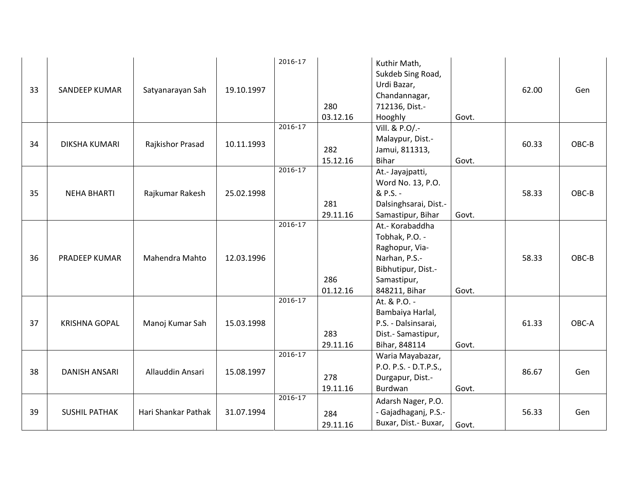| 33 | SANDEEP KUMAR        | Satyanarayan Sah    | 19.10.1997 | 2016-17     | 280<br>03.12.16 | Kuthir Math,<br>Sukdeb Sing Road,<br>Urdi Bazar,<br>Chandannagar,<br>712136, Dist.-<br>Hooghly                             | Govt. | 62.00 | Gen   |
|----|----------------------|---------------------|------------|-------------|-----------------|----------------------------------------------------------------------------------------------------------------------------|-------|-------|-------|
| 34 | DIKSHA KUMARI        | Rajkishor Prasad    | 10.11.1993 | $2016 - 17$ | 282<br>15.12.16 | Vill. & P.O/.-<br>Malaypur, Dist.-<br>Jamui, 811313,<br>Bihar                                                              | Govt. | 60.33 | OBC-B |
| 35 | <b>NEHA BHARTI</b>   | Rajkumar Rakesh     | 25.02.1998 | $2016 - 17$ | 281<br>29.11.16 | At.- Jayajpatti,<br>Word No. 13, P.O.<br>& P.S. -<br>Dalsinghsarai, Dist.-<br>Samastipur, Bihar                            | Govt. | 58.33 | OBC-B |
| 36 | PRADEEP KUMAR        | Mahendra Mahto      | 12.03.1996 | $2016 - 17$ | 286<br>01.12.16 | At.- Korabaddha<br>Tobhak, P.O. -<br>Raghopur, Via-<br>Narhan, P.S.-<br>Bibhutipur, Dist.-<br>Samastipur,<br>848211, Bihar | Govt. | 58.33 | OBC-B |
| 37 | <b>KRISHNA GOPAL</b> | Manoj Kumar Sah     | 15.03.1998 | $2016 - 17$ | 283<br>29.11.16 | At. & P.O. -<br>Bambaiya Harlal,<br>P.S. - Dalsinsarai,<br>Dist.- Samastipur,<br>Bihar, 848114                             | Govt. | 61.33 | OBC-A |
| 38 | DANISH ANSARI        | Allauddin Ansari    | 15.08.1997 | $2016 - 17$ | 278<br>19.11.16 | Waria Mayabazar,<br>P.O. P.S. - D.T.P.S.,<br>Durgapur, Dist.-<br>Burdwan                                                   | Govt. | 86.67 | Gen   |
| 39 | <b>SUSHIL PATHAK</b> | Hari Shankar Pathak | 31.07.1994 | $2016 - 17$ | 284<br>29.11.16 | Adarsh Nager, P.O.<br>- Gajadhaganj, P.S.-<br>Buxar, Dist.- Buxar,                                                         | Govt. | 56.33 | Gen   |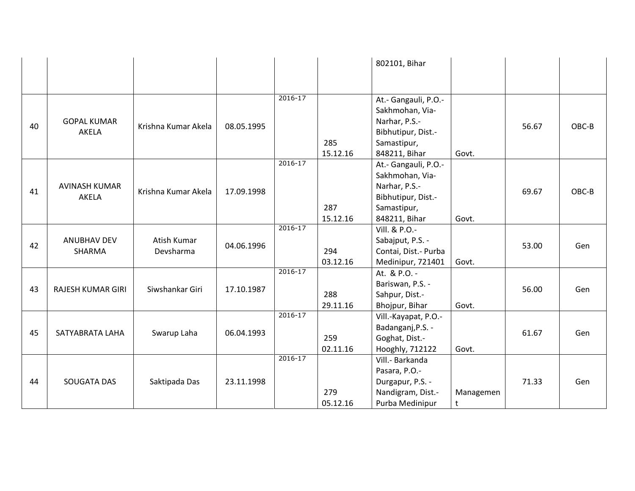|    |                          |                     |            |             |          | 802101, Bihar         |           |       |       |
|----|--------------------------|---------------------|------------|-------------|----------|-----------------------|-----------|-------|-------|
|    |                          |                     |            |             |          |                       |           |       |       |
|    |                          |                     |            |             |          |                       |           |       |       |
|    |                          |                     |            | $2016 - 17$ |          | At.- Gangauli, P.O.-  |           |       |       |
|    |                          |                     |            |             |          | Sakhmohan, Via-       |           |       |       |
| 40 | <b>GOPAL KUMAR</b>       | Krishna Kumar Akela | 08.05.1995 |             |          | Narhar, P.S.-         |           | 56.67 | OBC-B |
|    | AKELA                    |                     |            |             |          | Bibhutipur, Dist.-    |           |       |       |
|    |                          |                     |            |             | 285      | Samastipur,           |           |       |       |
|    |                          |                     |            |             | 15.12.16 | 848211, Bihar         | Govt.     |       |       |
|    |                          |                     |            | $2016 - 17$ |          | At.- Gangauli, P.O.-  |           |       |       |
|    |                          |                     |            |             |          | Sakhmohan, Via-       |           |       |       |
| 41 | <b>AVINASH KUMAR</b>     | Krishna Kumar Akela | 17.09.1998 |             |          | Narhar, P.S.-         |           | 69.67 | OBC-B |
|    | AKELA                    |                     |            |             |          | Bibhutipur, Dist.-    |           |       |       |
|    |                          |                     |            |             | 287      | Samastipur,           |           |       |       |
|    |                          |                     |            |             | 15.12.16 | 848211, Bihar         | Govt.     |       |       |
|    |                          |                     |            | $2016 - 17$ |          | Vill. & P.O.-         |           |       |       |
| 42 | <b>ANUBHAV DEV</b>       | Atish Kumar         | 04.06.1996 |             |          | Sabajput, P.S. -      |           | 53.00 | Gen   |
|    | SHARMA                   | Devsharma           |            |             | 294      | Contai, Dist. - Purba |           |       |       |
|    |                          |                     |            |             | 03.12.16 | Medinipur, 721401     | Govt.     |       |       |
|    |                          |                     |            | $2016 - 17$ |          | At. & P.O. -          |           |       |       |
| 43 | <b>RAJESH KUMAR GIRI</b> | Siwshankar Giri     | 17.10.1987 |             |          | Bariswan, P.S. -      |           | 56.00 | Gen   |
|    |                          |                     |            |             | 288      | Sahpur, Dist.-        |           |       |       |
|    |                          |                     |            |             | 29.11.16 | Bhojpur, Bihar        | Govt.     |       |       |
|    |                          |                     |            | $2016 - 17$ |          | Vill.-Kayapat, P.O.-  |           |       |       |
| 45 | SATYABRATA LAHA          | Swarup Laha         | 06.04.1993 |             |          | Badanganj, P.S. -     |           | 61.67 | Gen   |
|    |                          |                     |            |             | 259      | Goghat, Dist.-        |           |       |       |
|    |                          |                     |            |             | 02.11.16 | Hooghly, 712122       | Govt.     |       |       |
|    |                          |                     |            | $2016 - 17$ |          | Vill.- Barkanda       |           |       |       |
|    |                          |                     |            |             |          | Pasara, P.O.-         |           |       |       |
| 44 | SOUGATA DAS              | Saktipada Das       | 23.11.1998 |             |          | Durgapur, P.S. -      |           | 71.33 | Gen   |
|    |                          |                     |            |             | 279      | Nandigram, Dist.-     | Managemen |       |       |
|    |                          |                     |            |             | 05.12.16 | Purba Medinipur       | t         |       |       |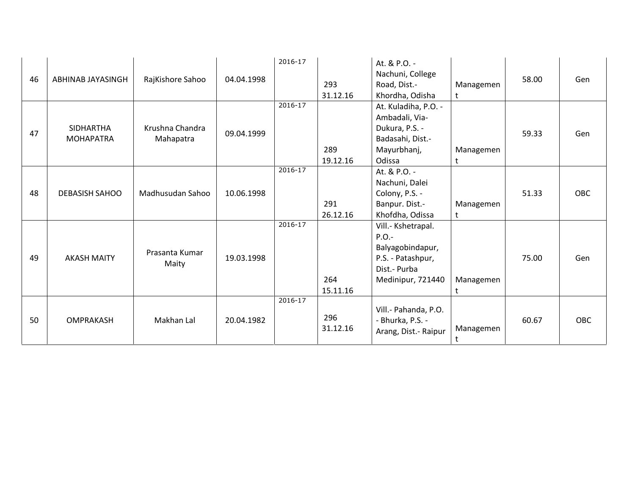| 46 | ABHINAB JAYASINGH                    | RajKishore Sahoo             | 04.04.1998 | 2016-17     | 293<br>31.12.16 | At. & P.O. -<br>Nachuni, College<br>Road, Dist.-<br>Khordha, Odisha                                          | Managemen<br>$\mathsf{t}$ | 58.00 | Gen        |
|----|--------------------------------------|------------------------------|------------|-------------|-----------------|--------------------------------------------------------------------------------------------------------------|---------------------------|-------|------------|
| 47 | <b>SIDHARTHA</b><br><b>MOHAPATRA</b> | Krushna Chandra<br>Mahapatra | 09.04.1999 | 2016-17     | 289<br>19.12.16 | At. Kuladiha, P.O. -<br>Ambadali, Via-<br>Dukura, P.S. -<br>Badasahi, Dist.-<br>Mayurbhanj,<br>Odissa        | Managemen<br>$\ddagger$   | 59.33 | Gen        |
| 48 | <b>DEBASISH SAHOO</b>                | Madhusudan Sahoo             | 10.06.1998 | $2016 - 17$ | 291<br>26.12.16 | At. & P.O. -<br>Nachuni, Dalei<br>Colony, P.S. -<br>Banpur. Dist.-<br>Khofdha, Odissa                        | Managemen<br>t            | 51.33 | OBC        |
| 49 | <b>AKASH MAITY</b>                   | Prasanta Kumar<br>Maity      | 19.03.1998 | 2016-17     | 264<br>15.11.16 | Vill.- Kshetrapal.<br>$P.O. -$<br>Balyagobindapur,<br>P.S. - Patashpur,<br>Dist.- Purba<br>Medinipur, 721440 | Managemen<br>t            | 75.00 | Gen        |
| 50 | <b>OMPRAKASH</b>                     | Makhan Lal                   | 20.04.1982 | $2016 - 17$ | 296<br>31.12.16 | Vill.- Pahanda, P.O.<br>- Bhurka, P.S. -<br>Arang, Dist. - Raipur                                            | Managemen<br>t            | 60.67 | <b>OBC</b> |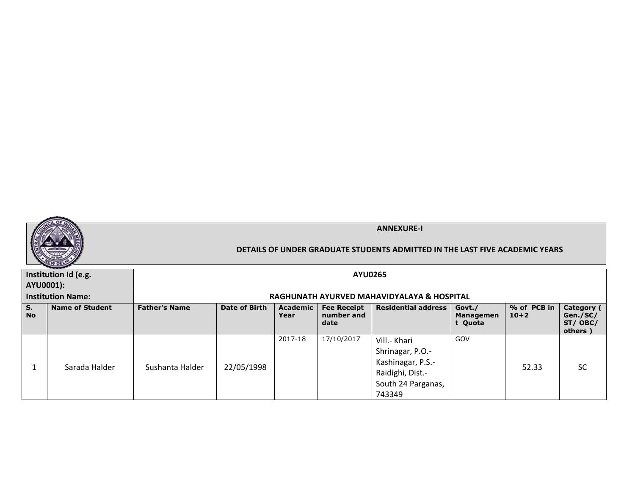

|                 | Institution Id (e.g.     |                      |                                            |                    | <b>AYU0265</b>                           |                                                                                                           |                                       |                       |                                              |  |  |
|-----------------|--------------------------|----------------------|--------------------------------------------|--------------------|------------------------------------------|-----------------------------------------------------------------------------------------------------------|---------------------------------------|-----------------------|----------------------------------------------|--|--|
| AYU0001):       |                          |                      |                                            |                    |                                          |                                                                                                           |                                       |                       |                                              |  |  |
|                 | <b>Institution Name:</b> |                      | RAGHUNATH AYURVED MAHAVIDYALAYA & HOSPITAL |                    |                                          |                                                                                                           |                                       |                       |                                              |  |  |
| S.<br><b>No</b> | <b>Name of Student</b>   | <b>Father's Name</b> | Date of Birth                              | Academic  <br>Year | <b>Fee Receipt</b><br>number and<br>date | Residential address                                                                                       | Govt./<br><b>Managemen</b><br>t Quota | % of PCB in<br>$10+2$ | Category (<br>Gen./SC/<br>ST/OBC/<br>others) |  |  |
|                 | Sarada Halder            | Sushanta Halder      | 22/05/1998                                 | 2017-18            | 17/10/2017                               | Vill.- Khari<br>Shrinagar, P.O.-<br>Kashinagar, P.S.-<br>Raidighi, Dist.-<br>South 24 Parganas,<br>743349 | GOV                                   | 52.33                 | <b>SC</b>                                    |  |  |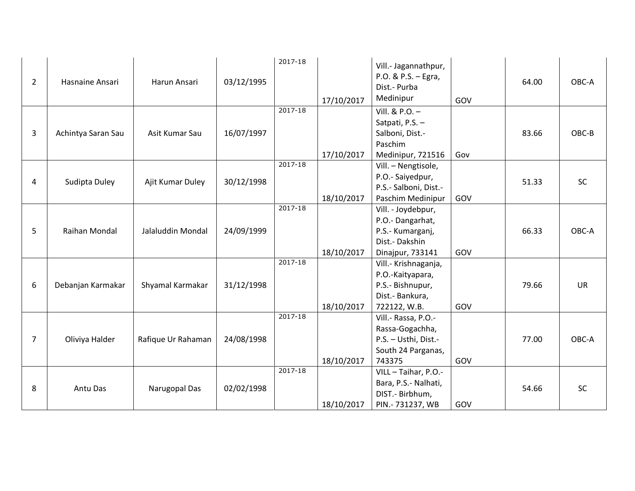| $\overline{2}$ | Hasnaine Ansari    | Harun Ansari       | 03/12/1995 | 2017-18     | 17/10/2017 | Vill.- Jagannathpur,<br>P.O. & P.S. - Egra,<br>Dist.- Purba<br>Medinipur                         | GOV | 64.00 | OBC-A     |
|----------------|--------------------|--------------------|------------|-------------|------------|--------------------------------------------------------------------------------------------------|-----|-------|-----------|
| 3              | Achintya Saran Sau | Asit Kumar Sau     | 16/07/1997 | $2017 - 18$ | 17/10/2017 | Vill. & P.O. -<br>Satpati, P.S. -<br>Salboni, Dist.-<br>Paschim<br>Medinipur, 721516             | Gov | 83.66 | OBC-B     |
| 4              | Sudipta Duley      | Ajit Kumar Duley   | 30/12/1998 | $2017 - 18$ | 18/10/2017 | Vill. - Nengtisole,<br>P.O.- Saiyedpur,<br>P.S.- Salboni, Dist.-<br>Paschim Medinipur            | GOV | 51.33 | <b>SC</b> |
| 5              | Raihan Mondal      | Jalaluddin Mondal  | 24/09/1999 | $2017 - 18$ | 18/10/2017 | Vill. - Joydebpur,<br>P.O.- Dangarhat,<br>P.S.- Kumarganj,<br>Dist.- Dakshin<br>Dinajpur, 733141 | GOV | 66.33 | OBC-A     |
| 6              | Debanjan Karmakar  | Shyamal Karmakar   | 31/12/1998 | $2017 - 18$ | 18/10/2017 | Vill.- Krishnaganja,<br>P.O.-Kaityapara,<br>P.S.- Bishnupur,<br>Dist.- Bankura,<br>722122, W.B.  | GOV | 79.66 | <b>UR</b> |
| 7              | Oliviya Halder     | Rafique Ur Rahaman | 24/08/1998 | $2017 - 18$ | 18/10/2017 | Vill.- Rassa, P.O.-<br>Rassa-Gogachha,<br>P.S. - Usthi, Dist.-<br>South 24 Parganas,<br>743375   | GOV | 77.00 | OBC-A     |
| 8              | Antu Das           | Narugopal Das      | 02/02/1998 | $2017 - 18$ | 18/10/2017 | VILL - Taihar, P.O.-<br>Bara, P.S.- Nalhati,<br>DIST.- Birbhum,<br>PIN. - 731237, WB             | GOV | 54.66 | SC        |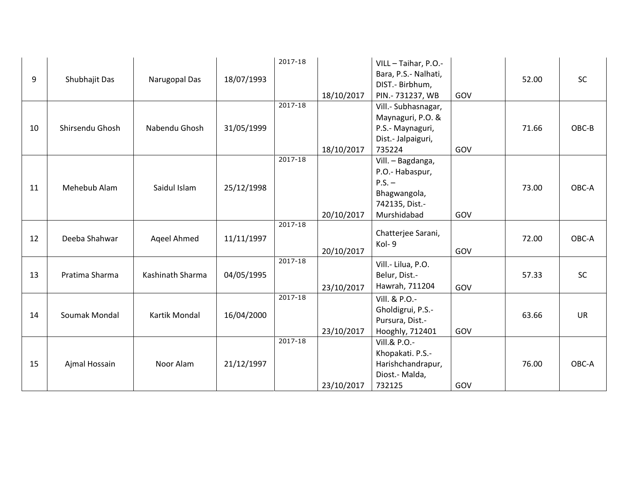| 9  | Shubhajit Das   | Narugopal Das    | 18/07/1993 | 2017-18<br>$2017 - 18$ | 18/10/2017 | VILL - Taihar, P.O.-<br>Bara, P.S.- Nalhati,<br>DIST.- Birbhum,<br>PIN.-731237, WB                | GOV | 52.00 | SC        |
|----|-----------------|------------------|------------|------------------------|------------|---------------------------------------------------------------------------------------------------|-----|-------|-----------|
| 10 | Shirsendu Ghosh | Nabendu Ghosh    | 31/05/1999 |                        | 18/10/2017 | Vill.- Subhasnagar,<br>Maynaguri, P.O. &<br>P.S.- Maynaguri,<br>Dist.- Jalpaiguri,<br>735224      | GOV | 71.66 | OBC-B     |
| 11 | Mehebub Alam    | Saidul Islam     | 25/12/1998 | $2017 - 18$            | 20/10/2017 | Vill. - Bagdanga,<br>P.O.- Habaspur,<br>$P.S. -$<br>Bhagwangola,<br>742135, Dist.-<br>Murshidabad | GOV | 73.00 | OBC-A     |
| 12 | Deeba Shahwar   | Ageel Ahmed      | 11/11/1997 | $2017 - 18$            | 20/10/2017 | Chatterjee Sarani,<br>Kol-9                                                                       | GOV | 72.00 | OBC-A     |
| 13 | Pratima Sharma  | Kashinath Sharma | 04/05/1995 | $2017 - 18$            | 23/10/2017 | Vill.- Lilua, P.O.<br>Belur, Dist.-<br>Hawrah, 711204                                             | GOV | 57.33 | <b>SC</b> |
| 14 | Soumak Mondal   | Kartik Mondal    | 16/04/2000 | $2017 - 18$            | 23/10/2017 | Vill. & P.O.-<br>Gholdigrui, P.S.-<br>Pursura, Dist.-<br>Hooghly, 712401                          | GOV | 63.66 | <b>UR</b> |
| 15 | Ajmal Hossain   | Noor Alam        | 21/12/1997 | $2017 - 18$            | 23/10/2017 | Vill.& P.O.-<br>Khopakati. P.S.-<br>Harishchandrapur,<br>Diost.- Malda,<br>732125                 | GOV | 76.00 | OBC-A     |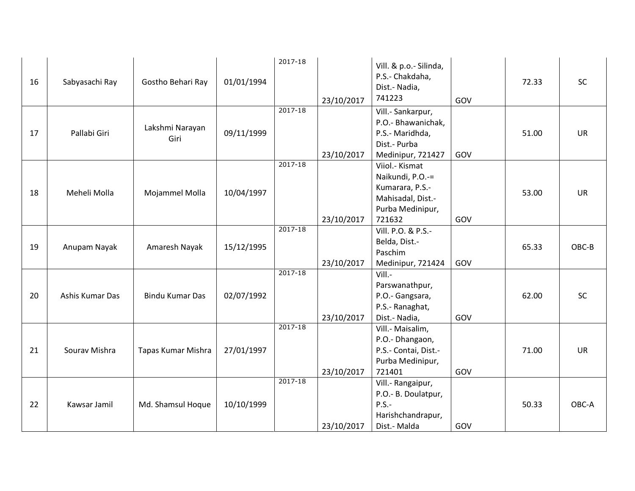| 16 | Sabyasachi Ray  | Gostho Behari Ray       | 01/01/1994 | 2017-18     | 23/10/2017 | Vill. & p.o.- Silinda,<br>P.S.- Chakdaha,<br>Dist.- Nadia,<br>741223                                     | GOV | 72.33 | SC        |
|----|-----------------|-------------------------|------------|-------------|------------|----------------------------------------------------------------------------------------------------------|-----|-------|-----------|
| 17 | Pallabi Giri    | Lakshmi Narayan<br>Giri | 09/11/1999 | $2017 - 18$ | 23/10/2017 | Vill.- Sankarpur,<br>P.O.- Bhawanichak,<br>P.S.- Maridhda,<br>Dist.- Purba<br>Medinipur, 721427          | GOV | 51.00 | <b>UR</b> |
| 18 | Meheli Molla    | Mojammel Molla          | 10/04/1997 | $2017 - 18$ | 23/10/2017 | Viiol.- Kismat<br>Naikundi, P.O.-=<br>Kumarara, P.S.-<br>Mahisadal, Dist.-<br>Purba Medinipur,<br>721632 | GOV | 53.00 | <b>UR</b> |
| 19 | Anupam Nayak    | Amaresh Nayak           | 15/12/1995 | $2017 - 18$ | 23/10/2017 | Vill. P.O. & P.S.-<br>Belda, Dist.-<br>Paschim<br>Medinipur, 721424                                      | GOV | 65.33 | OBC-B     |
| 20 | Ashis Kumar Das | <b>Bindu Kumar Das</b>  | 02/07/1992 | $2017 - 18$ | 23/10/2017 | Vill.-<br>Parswanathpur,<br>P.O.- Gangsara,<br>P.S.- Ranaghat,<br>Dist.- Nadia,                          | GOV | 62.00 | <b>SC</b> |
| 21 | Sourav Mishra   | Tapas Kumar Mishra      | 27/01/1997 | $2017 - 18$ | 23/10/2017 | Vill.- Maisalim,<br>P.O.- Dhangaon,<br>P.S.- Contai, Dist.-<br>Purba Medinipur,<br>721401                | GOV | 71.00 | <b>UR</b> |
| 22 | Kawsar Jamil    | Md. Shamsul Hoque       | 10/10/1999 | $2017 - 18$ | 23/10/2017 | Vill.- Rangaipur,<br>P.O.- B. Doulatpur,<br>$P.S.-$<br>Harishchandrapur,<br>Dist.- Malda                 | GOV | 50.33 | OBC-A     |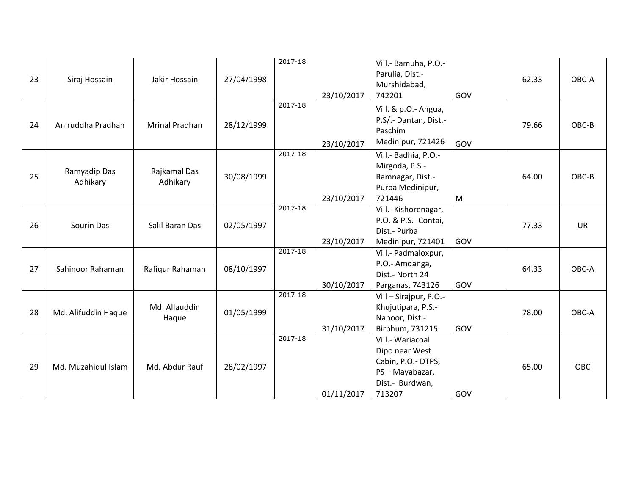| 23 | Siraj Hossain            | Jakir Hossain            | 27/04/1998 | 2017-18     | 23/10/2017 | Vill.- Bamuha, P.O.-<br>Parulia, Dist.-<br>Murshidabad,<br>742201                                      | GOV | 62.33 | OBC-A     |
|----|--------------------------|--------------------------|------------|-------------|------------|--------------------------------------------------------------------------------------------------------|-----|-------|-----------|
| 24 | Aniruddha Pradhan        | <b>Mrinal Pradhan</b>    | 28/12/1999 | 2017-18     | 23/10/2017 | Vill. & p.O.- Angua,<br>P.S/ .- Dantan, Dist .-<br>Paschim<br>Medinipur, 721426                        | GOV | 79.66 | OBC-B     |
| 25 | Ramyadip Das<br>Adhikary | Rajkamal Das<br>Adhikary | 30/08/1999 | $2017 - 18$ | 23/10/2017 | Vill.- Badhia, P.O.-<br>Mirgoda, P.S.-<br>Ramnagar, Dist.-<br>Purba Medinipur,<br>721446               | M   | 64.00 | OBC-B     |
| 26 | Sourin Das               | Salil Baran Das          | 02/05/1997 | $2017 - 18$ | 23/10/2017 | Vill.- Kishorenagar,<br>P.O. & P.S.- Contai,<br>Dist.- Purba<br>Medinipur, 721401                      | GOV | 77.33 | <b>UR</b> |
| 27 | Sahinoor Rahaman         | Rafiqur Rahaman          | 08/10/1997 | $2017 - 18$ | 30/10/2017 | Vill.- Padmaloxpur,<br>P.O.- Amdanga,<br>Dist.- North 24<br>Parganas, 743126                           | GOV | 64.33 | OBC-A     |
| 28 | Md. Alifuddin Haque      | Md. Allauddin<br>Haque   | 01/05/1999 | $2017 - 18$ | 31/10/2017 | Vill - Sirajpur, P.O.-<br>Khujutipara, P.S.-<br>Nanoor, Dist.-<br>Birbhum, 731215                      | GOV | 78.00 | OBC-A     |
| 29 | Md. Muzahidul Islam      | Md. Abdur Rauf           | 28/02/1997 | $2017 - 18$ | 01/11/2017 | Vill.- Wariacoal<br>Dipo near West<br>Cabin, P.O.- DTPS,<br>PS-Mayabazar,<br>Dist.- Burdwan,<br>713207 | GOV | 65.00 | OBC       |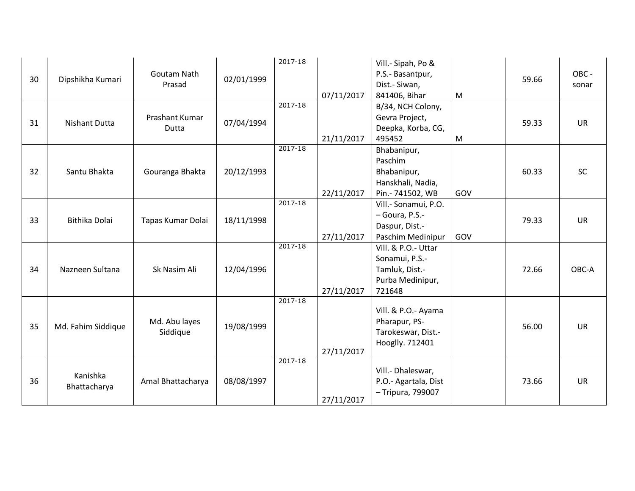| 30 | Dipshikha Kumari         | Goutam Nath<br>Prasad     | 02/01/1999 | 2017-18     | 07/11/2017 | Vill.- Sipah, Po &<br>P.S.- Basantpur,<br>Dist.- Siwan,<br>841406, Bihar              | M   | 59.66 | OBC -<br>sonar |
|----|--------------------------|---------------------------|------------|-------------|------------|---------------------------------------------------------------------------------------|-----|-------|----------------|
| 31 | <b>Nishant Dutta</b>     | Prashant Kumar<br>Dutta   | 07/04/1994 | $2017 - 18$ | 21/11/2017 | B/34, NCH Colony,<br>Gevra Project,<br>Deepka, Korba, CG,<br>495452                   | M   | 59.33 | <b>UR</b>      |
| 32 | Santu Bhakta             | Gouranga Bhakta           | 20/12/1993 | $2017 - 18$ | 22/11/2017 | Bhabanipur,<br>Paschim<br>Bhabanipur,<br>Hanskhali, Nadia,<br>Pin.- 741502, WB        | GOV | 60.33 | <b>SC</b>      |
| 33 | Bithika Dolai            | Tapas Kumar Dolai         | 18/11/1998 | $2017 - 18$ | 27/11/2017 | Vill.- Sonamui, P.O.<br>- Goura, P.S.-<br>Daspur, Dist.-<br>Paschim Medinipur         | GOV | 79.33 | <b>UR</b>      |
| 34 | Nazneen Sultana          | Sk Nasim Ali              | 12/04/1996 | $2017 - 18$ | 27/11/2017 | Vill. & P.O.- Uttar<br>Sonamui, P.S.-<br>Tamluk, Dist.-<br>Purba Medinipur,<br>721648 |     | 72.66 | OBC-A          |
| 35 | Md. Fahim Siddique       | Md. Abu layes<br>Siddique | 19/08/1999 | $2017 - 18$ | 27/11/2017 | Vill. & P.O.- Ayama<br>Pharapur, PS-<br>Tarokeswar, Dist.-<br>Hooglly. 712401         |     | 56.00 | <b>UR</b>      |
| 36 | Kanishka<br>Bhattacharya | Amal Bhattacharya         | 08/08/1997 | $2017 - 18$ | 27/11/2017 | Vill.- Dhaleswar,<br>P.O.- Agartala, Dist<br>- Tripura, 799007                        |     | 73.66 | <b>UR</b>      |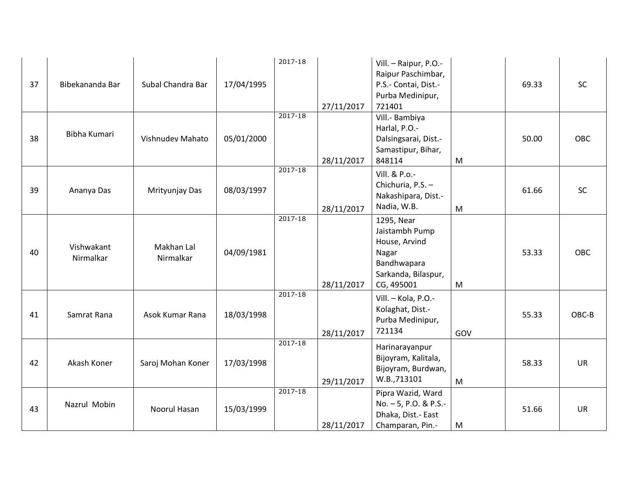| 37 | Bibekananda Bar         | Subal Chandra Bar       | 17/04/1995 | 2017-18     | 27/11/2017 | Vill. - Raipur, P.O.-<br>Raipur Paschimbar,<br>P.S.- Contai, Dist.-<br>Purba Medinipur,<br>721401          |     | 69.33 | SC        |
|----|-------------------------|-------------------------|------------|-------------|------------|------------------------------------------------------------------------------------------------------------|-----|-------|-----------|
| 38 | Bibha Kumari            | Vishnudev Mahato        | 05/01/2000 | $2017 - 18$ | 28/11/2017 | Vill.- Bambiya<br>Harlal, P.O.-<br>Dalsingsarai, Dist.-<br>Samastipur, Bihar,<br>848114                    | M   | 50.00 | OBC       |
| 39 | Ananya Das              | Mrityunjay Das          | 08/03/1997 | $2017 - 18$ | 28/11/2017 | Vill. & P.o.-<br>Chichuria, P.S. -<br>Nakashipara, Dist.-<br>Nadia, W.B.                                   | M   | 61.66 | <b>SC</b> |
| 40 | Vishwakant<br>Nirmalkar | Makhan Lal<br>Nirmalkar | 04/09/1981 | $2017 - 18$ | 28/11/2017 | 1295, Near<br>Jaistambh Pump<br>House, Arvind<br>Nagar<br>Bandhwapara<br>Sarkanda, Bilaspur,<br>CG, 495001 | M   | 53.33 | OBC       |
| 41 | Samrat Rana             | Asok Kumar Rana         | 18/03/1998 | $2017 - 18$ | 28/11/2017 | Vill. - Kola, P.O.-<br>Kolaghat, Dist.-<br>Purba Medinipur,<br>721134                                      | GOV | 55.33 | OBC-B     |
| 42 | Akash Koner             | Saroj Mohan Koner       | 17/03/1998 | $2017 - 18$ | 29/11/2017 | Harinarayanpur<br>Bijoyram, Kalitala,<br>Bijoyram, Burdwan,<br>W.B.,713101                                 | M   | 58.33 | <b>UR</b> |
| 43 | Nazrul Mobin            | Noorul Hasan            | 15/03/1999 | $2017 - 18$ | 28/11/2017 | Pipra Wazid, Ward<br>No. - 5, P.O. & P.S.-<br>Dhaka, Dist.- East<br>Champaran, Pin.-                       | M   | 51.66 | <b>UR</b> |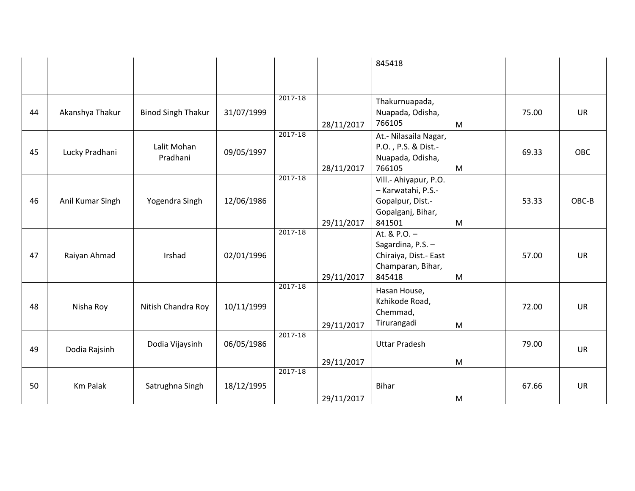|    |                  |                           |            |             |            | 845418                                                                                         |   |       |            |
|----|------------------|---------------------------|------------|-------------|------------|------------------------------------------------------------------------------------------------|---|-------|------------|
|    |                  |                           |            |             |            |                                                                                                |   |       |            |
| 44 | Akanshya Thakur  | <b>Binod Singh Thakur</b> | 31/07/1999 | $2017 - 18$ | 28/11/2017 | Thakurnuapada,<br>Nuapada, Odisha,<br>766105                                                   | M | 75.00 | <b>UR</b>  |
| 45 | Lucky Pradhani   | Lalit Mohan<br>Pradhani   | 09/05/1997 | $2017 - 18$ | 28/11/2017 | At.- Nilasaila Nagar,<br>P.O., P.S. & Dist.-<br>Nuapada, Odisha,<br>766105                     | M | 69.33 | <b>OBC</b> |
| 46 | Anil Kumar Singh | Yogendra Singh            | 12/06/1986 | $2017 - 18$ | 29/11/2017 | Vill.- Ahiyapur, P.O.<br>- Karwatahi, P.S.-<br>Gopalpur, Dist.-<br>Gopalganj, Bihar,<br>841501 | M | 53.33 | OBC-B      |
| 47 | Raiyan Ahmad     | Irshad                    | 02/01/1996 | $2017 - 18$ | 29/11/2017 | At. & $P.O. -$<br>Sagardina, P.S. -<br>Chiraiya, Dist.- East<br>Champaran, Bihar,<br>845418    | M | 57.00 | <b>UR</b>  |
| 48 | Nisha Roy        | Nitish Chandra Roy        | 10/11/1999 | $2017 - 18$ | 29/11/2017 | Hasan House,<br>Kzhikode Road,<br>Chemmad,<br>Tirurangadi                                      | M | 72.00 | <b>UR</b>  |
| 49 | Dodia Rajsinh    | Dodia Vijaysinh           | 06/05/1986 | $2017 - 18$ | 29/11/2017 | <b>Uttar Pradesh</b>                                                                           | M | 79.00 | <b>UR</b>  |
| 50 | <b>Km Palak</b>  | Satrughna Singh           | 18/12/1995 | $2017 - 18$ | 29/11/2017 | <b>Bihar</b>                                                                                   | M | 67.66 | <b>UR</b>  |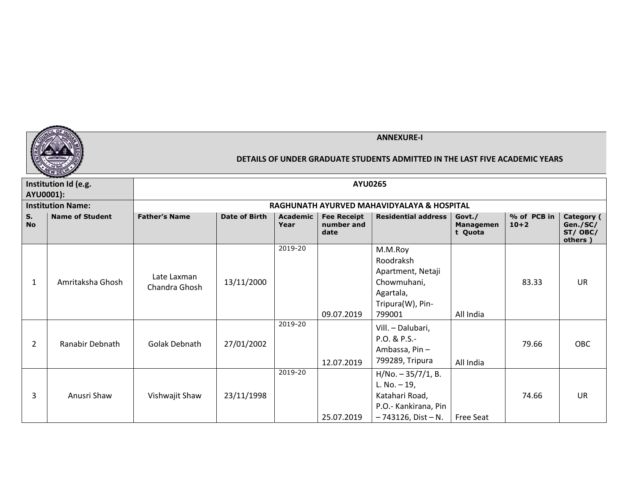

|                      | Institution Id (e.g.                  |                              |                      |                         | <b>AYU0265</b>                           |                                                                                                              |                                |                         |                                              |
|----------------------|---------------------------------------|------------------------------|----------------------|-------------------------|------------------------------------------|--------------------------------------------------------------------------------------------------------------|--------------------------------|-------------------------|----------------------------------------------|
|                      | AYU0001):<br><b>Institution Name:</b> |                              |                      |                         |                                          | RAGHUNATH AYURVED MAHAVIDYALAYA & HOSPITAL                                                                   |                                |                         |                                              |
| $S_{1}$<br><b>No</b> | <b>Name of Student</b>                | <b>Father's Name</b>         | <b>Date of Birth</b> | <b>Academic</b><br>Year | <b>Fee Receipt</b><br>number and<br>date | <b>Residential address</b>                                                                                   | Govt./<br>Managemen<br>t Quota | % of PCB in<br>$10 + 2$ | Category (<br>Gen./SC/<br>ST/OBC/<br>others) |
| 1                    | Amritaksha Ghosh                      | Late Laxman<br>Chandra Ghosh | 13/11/2000           | 2019-20                 | 09.07.2019                               | M.M.Roy<br>Roodraksh<br>Apartment, Netaji<br>Chowmuhani,<br>Agartala,<br>Tripura(W), Pin-<br>799001          | All India                      | 83.33                   | <b>UR</b>                                    |
| 2                    | Ranabir Debnath                       | Golak Debnath                | 27/01/2002           | 2019-20                 | 12.07.2019                               | Vill. - Dalubari,<br>P.O. & P.S.-<br>Ambassa, Pin-<br>799289, Tripura                                        | All India                      | 79.66                   | <b>OBC</b>                                   |
| 3                    | Anusri Shaw                           | Vishwajit Shaw               | 23/11/1998           | 2019-20                 | 25.07.2019                               | $H/No. - 35/7/1, B.$<br>L. No. $-19$ ,<br>Katahari Road,<br>P.O.- Kankirana, Pin<br>$-743126$ , Dist $- N$ . | <b>Free Seat</b>               | 74.66                   | <b>UR</b>                                    |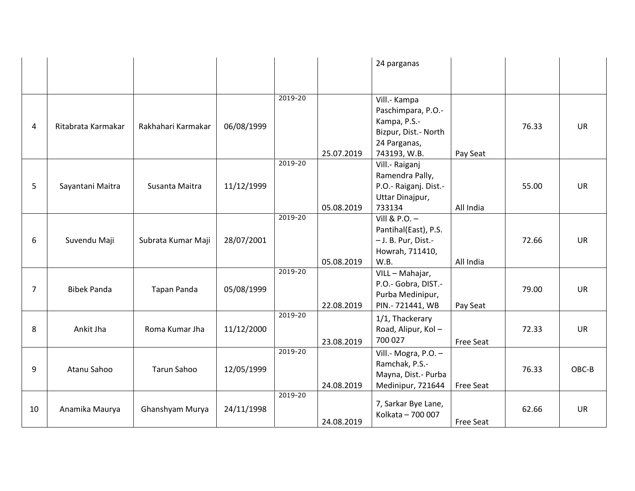|                |                    |                    |            |         |            | 24 parganas                              |           |       |           |
|----------------|--------------------|--------------------|------------|---------|------------|------------------------------------------|-----------|-------|-----------|
|                |                    |                    |            |         |            |                                          |           |       |           |
|                |                    |                    |            | 2019-20 |            | Vill.- Kampa<br>Paschimpara, P.O.-       |           |       |           |
| 4              | Ritabrata Karmakar | Rakhahari Karmakar | 06/08/1999 |         |            | Kampa, P.S.-<br>Bizpur, Dist.- North     |           | 76.33 | <b>UR</b> |
|                |                    |                    |            |         | 25.07.2019 | 24 Parganas,<br>743193, W.B.             | Pay Seat  |       |           |
|                |                    |                    |            | 2019-20 |            | Vill.- Raiganj<br>Ramendra Pally,        |           |       |           |
| 5              | Sayantani Maitra   | Susanta Maitra     | 11/12/1999 |         |            | P.O.- Raiganj. Dist.-                    |           | 55.00 | <b>UR</b> |
|                |                    |                    |            |         | 05.08.2019 | Uttar Dinajpur,<br>733134                | All India |       |           |
|                |                    |                    |            | 2019-20 |            | Vill & P.O. $-$<br>Pantihal(East), P.S.  |           |       |           |
| 6              | Suvendu Maji       | Subrata Kumar Maji | 28/07/2001 |         |            | - J. B. Pur, Dist.-                      |           | 72.66 | <b>UR</b> |
|                |                    |                    |            |         | 05.08.2019 | Howrah, 711410,<br>W.B.                  | All India |       |           |
|                |                    |                    |            | 2019-20 |            | VILL - Mahajar,                          |           |       |           |
| $\overline{7}$ | <b>Bibek Panda</b> | <b>Tapan Panda</b> | 05/08/1999 |         |            | P.O.- Gobra, DIST.-<br>Purba Medinipur,  |           | 79.00 | <b>UR</b> |
|                |                    |                    |            | 2019-20 | 22.08.2019 | PIN.- 721441, WB                         | Pay Seat  |       |           |
| 8              | Ankit Jha          | Roma Kumar Jha     | 11/12/2000 |         |            | 1/1, Thackerary<br>Road, Alipur, Kol-    |           | 72.33 | <b>UR</b> |
|                |                    |                    |            |         | 23.08.2019 | 700 027                                  | Free Seat |       |           |
|                |                    |                    |            | 2019-20 |            | Vill.- Mogra, P.O. -<br>Ramchak, P.S.-   |           |       |           |
| 9              | Atanu Sahoo        | <b>Tarun Sahoo</b> | 12/05/1999 |         |            | Mayna, Dist.- Purba                      |           | 76.33 | OBC-B     |
|                |                    |                    |            | 2019-20 | 24.08.2019 | Medinipur, 721644                        | Free Seat |       |           |
| 10             | Anamika Maurya     | Ghanshyam Murya    | 24/11/1998 |         |            | 7, Sarkar Bye Lane,<br>Kolkata - 700 007 |           | 62.66 | <b>UR</b> |
|                |                    |                    |            |         | 24.08.2019 |                                          | Free Seat |       |           |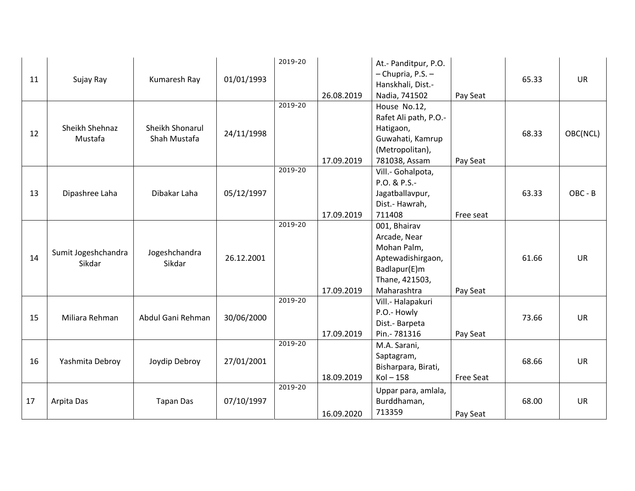| 11 | Sujay Ray                     | Kumaresh Ray                    | 01/01/1993 | 2019-20 | 26.08.2019 | At.- Panditpur, P.O.<br>- Chupria, P.S. -<br>Hanskhali, Dist.-<br>Nadia, 741502                                   | Pay Seat  | 65.33 | <b>UR</b> |
|----|-------------------------------|---------------------------------|------------|---------|------------|-------------------------------------------------------------------------------------------------------------------|-----------|-------|-----------|
| 12 | Sheikh Shehnaz<br>Mustafa     | Sheikh Shonarul<br>Shah Mustafa | 24/11/1998 | 2019-20 | 17.09.2019 | House No.12,<br>Rafet Ali path, P.O.-<br>Hatigaon,<br>Guwahati, Kamrup<br>(Metropolitan),<br>781038, Assam        | Pay Seat  | 68.33 | OBC(NCL)  |
| 13 | Dipashree Laha                | Dibakar Laha                    | 05/12/1997 | 2019-20 | 17.09.2019 | Vill.- Gohalpota,<br>P.O. & P.S.-<br>Jagatballavpur,<br>Dist.- Hawrah,<br>711408                                  | Free seat | 63.33 | OBC - B   |
| 14 | Sumit Jogeshchandra<br>Sikdar | Jogeshchandra<br>Sikdar         | 26.12.2001 | 2019-20 | 17.09.2019 | 001, Bhairav<br>Arcade, Near<br>Mohan Palm,<br>Aptewadishirgaon,<br>Badlapur(E)m<br>Thane, 421503,<br>Maharashtra | Pay Seat  | 61.66 | <b>UR</b> |
| 15 | Miliara Rehman                | Abdul Gani Rehman               | 30/06/2000 | 2019-20 | 17.09.2019 | Vill.- Halapakuri<br>P.O.- Howly<br>Dist.- Barpeta<br>Pin.- 781316                                                | Pay Seat  | 73.66 | <b>UR</b> |
| 16 | Yashmita Debroy               | Joydip Debroy                   | 27/01/2001 | 2019-20 | 18.09.2019 | M.A. Sarani,<br>Saptagram,<br>Bisharpara, Birati,<br>$Kol - 158$                                                  | Free Seat | 68.66 | <b>UR</b> |
| 17 | Arpita Das                    | <b>Tapan Das</b>                | 07/10/1997 | 2019-20 | 16.09.2020 | Uppar para, amlala,<br>Burddhaman,<br>713359                                                                      | Pay Seat  | 68.00 | <b>UR</b> |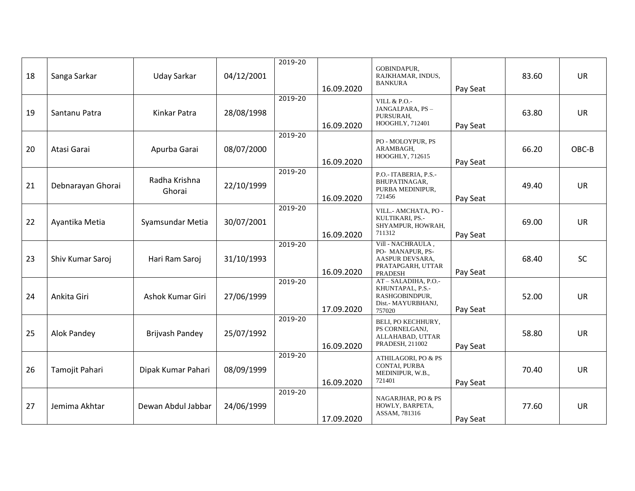| 18 | Sanga Sarkar      | <b>Uday Sarkar</b>      | 04/12/2001 | 2019-20 | 16.09.2020 | GOBINDAPUR,<br>RAJKHAMAR, INDUS,<br><b>BANKURA</b>                                              | Pay Seat | 83.60 | <b>UR</b> |
|----|-------------------|-------------------------|------------|---------|------------|-------------------------------------------------------------------------------------------------|----------|-------|-----------|
| 19 | Santanu Patra     | Kinkar Patra            | 28/08/1998 | 2019-20 | 16.09.2020 | <b>VILL &amp; P.O.-</b><br>JANGALPARA, PS-<br>PURSURAH,<br>HOOGHLY, 712401                      | Pay Seat | 63.80 | <b>UR</b> |
| 20 | Atasi Garai       | Apurba Garai            | 08/07/2000 | 2019-20 | 16.09.2020 | PO - MOLOYPUR, PS<br>ARAMBAGH,<br>HOOGHLY, 712615                                               | Pay Seat | 66.20 | OBC-B     |
| 21 | Debnarayan Ghorai | Radha Krishna<br>Ghorai | 22/10/1999 | 2019-20 | 16.09.2020 | P.O.- ITABERIA, P.S.-<br>BHUPATINAGAR,<br>PURBA MEDINIPUR,<br>721456                            | Pay Seat | 49.40 | <b>UR</b> |
| 22 | Ayantika Metia    | Syamsundar Metia        | 30/07/2001 | 2019-20 | 16.09.2020 | VILL.- AMCHATA, PO -<br>KULTIKARI, PS.-<br>SHYAMPUR, HOWRAH,<br>711312                          | Pay Seat | 69.00 | <b>UR</b> |
| 23 | Shiv Kumar Saroj  | Hari Ram Saroj          | 31/10/1993 | 2019-20 | 16.09.2020 | Vill - NACHRAULA,<br>PO- MANAPUR, PS-<br>AASPUR DEVSARA,<br>PRATAPGARH, UTTAR<br><b>PRADESH</b> | Pay Seat | 68.40 | <b>SC</b> |
| 24 | Ankita Giri       | Ashok Kumar Giri        | 27/06/1999 | 2019-20 | 17.09.2020 | AT-SALADIHA, P.O.-<br>KHUNTAPAL, P.S.-<br>RASHGOBINDPUR,<br>Dist.- MAYURBHANJ,<br>757020        | Pay Seat | 52.00 | UR        |
| 25 | Alok Pandey       | Brijvash Pandey         | 25/07/1992 | 2019-20 | 16.09.2020 | BELI, PO KECHHURY,<br>PS CORNELGANJ,<br>ALLAHABAD, UTTAR<br>PRADESH, 211002                     | Pay Seat | 58.80 | <b>UR</b> |
| 26 | Tamojit Pahari    | Dipak Kumar Pahari      | 08/09/1999 | 2019-20 | 16.09.2020 | ATHILAGORI, PO & PS<br>CONTAI, PURBA<br>MEDINIPUR, W.B.,<br>721401                              | Pay Seat | 70.40 | <b>UR</b> |
| 27 | Jemima Akhtar     | Dewan Abdul Jabbar      | 24/06/1999 | 2019-20 | 17.09.2020 | NAGARJHAR, PO & PS<br>HOWLY, BARPETA,<br>ASSAM, 781316                                          | Pay Seat | 77.60 | UR        |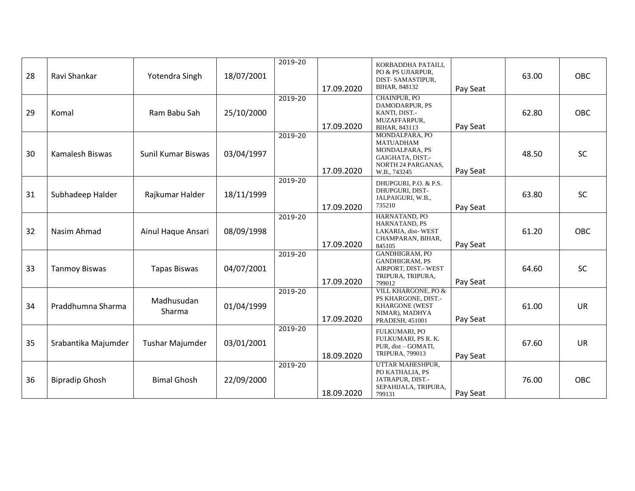| 28 | Ravi Shankar          | Yotendra Singh         | 18/07/2001 | 2019-20 | 17.09.2020 | KORBADDHA PATAILI,<br>PO & PS UJIARPUR,<br>DIST-SAMASTIPUR,<br>BIHAR, 848132                                   | Pay Seat | 63.00 | <b>OBC</b> |
|----|-----------------------|------------------------|------------|---------|------------|----------------------------------------------------------------------------------------------------------------|----------|-------|------------|
| 29 | Komal                 | Ram Babu Sah           | 25/10/2000 | 2019-20 | 17.09.2020 | CHAINPUR, PO<br>DAMODARPUR, PS<br>KANTI, DIST.-<br>MUZAFFARPUR,<br>BIHAR, 843113                               | Pay Seat | 62.80 | <b>OBC</b> |
| 30 | Kamalesh Biswas       | Sunil Kumar Biswas     | 03/04/1997 | 2019-20 | 17.09.2020 | MONDALPARA, PO<br><b>MATUADHAM</b><br>MONDALPARA, PS<br>GAIGHATA, DIST.-<br>NORTH 24 PARGANAS,<br>W.B., 743245 | Pay Seat | 48.50 | SC         |
| 31 | Subhadeep Halder      | Rajkumar Halder        | 18/11/1999 | 2019-20 | 17.09.2020 | DHUPGURI, P.O. & P.S.<br>DHUPGURI, DIST-<br>JALPAIGURI, W.B.,<br>735210                                        | Pay Seat | 63.80 | <b>SC</b>  |
| 32 | Nasim Ahmad           | Ainul Haque Ansari     | 08/09/1998 | 2019-20 | 17.09.2020 | HARNATAND, PO<br>HARNATAND, PS<br>LAKARIA, dist-WEST<br>CHAMPARAN, BIHAR,<br>845105                            | Pay Seat | 61.20 | <b>OBC</b> |
| 33 | <b>Tanmoy Biswas</b>  | <b>Tapas Biswas</b>    | 04/07/2001 | 2019-20 | 17.09.2020 | GANDHIGRAM, PO<br><b>GANDHIGRAM, PS</b><br>AIRPORT, DIST.- WEST<br>TRIPURA, TRIPURA,<br>799012                 | Pay Seat | 64.60 | <b>SC</b>  |
| 34 | Praddhumna Sharma     | Madhusudan<br>Sharma   | 01/04/1999 | 2019-20 | 17.09.2020 | VILL KHARGONE, PO &<br>PS KHARGONE, DIST.-<br><b>KHARGONE (WEST</b><br>NIMAR), MADHYA<br>PRADESH, 451001       | Pay Seat | 61.00 | <b>UR</b>  |
| 35 | Srabantika Majumder   | <b>Tushar Majumder</b> | 03/01/2001 | 2019-20 | 18.09.2020 | <b>FULKUMARI, PO</b><br>FULKUMARI, PS R. K.<br>PUR, dist - GOMATI,<br>TRIPURA, 799013                          | Pay Seat | 67.60 | <b>UR</b>  |
| 36 | <b>Bipradip Ghosh</b> | <b>Bimal Ghosh</b>     | 22/09/2000 | 2019-20 | 18.09.2020 | UTTAR MAHESHPUR,<br>PO KATHALIA, PS<br>JATRAPUR, DIST.-<br>SEPAHIJALA, TRIPURA,<br>799131                      | Pay Seat | 76.00 | OBC        |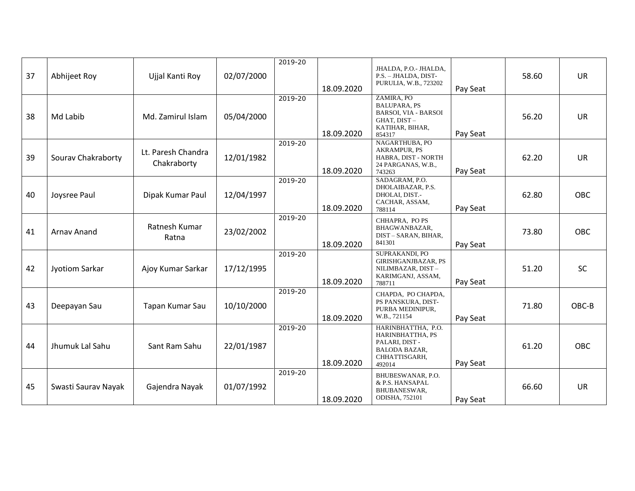| 37 | Abhijeet Roy          | Ujjal Kanti Roy                   | 02/07/2000 | 2019-20 | 18.09.2020 | JHALDA, P.O.- JHALDA,<br>P.S. - JHALDA, DIST-<br>PURULIA, W.B., 723202                                       | Pay Seat | 58.60 | <b>UR</b>  |
|----|-----------------------|-----------------------------------|------------|---------|------------|--------------------------------------------------------------------------------------------------------------|----------|-------|------------|
| 38 | Md Labib              | Md. Zamirul Islam                 | 05/04/2000 | 2019-20 | 18.09.2020 | ZAMIRA, PO<br><b>BALUPARA, PS</b><br><b>BARSOI, VIA - BARSOI</b><br>GHAT, DIST-<br>KATIHAR, BIHAR,<br>854317 | Pay Seat | 56.20 | <b>UR</b>  |
| 39 | Sourav Chakraborty    | Lt. Paresh Chandra<br>Chakraborty | 12/01/1982 | 2019-20 | 18.09.2020 | NAGARTHUBA, PO<br>AKRAMPUR, PS<br>HABRA, DIST - NORTH<br>24 PARGANAS, W.B.,<br>743263                        | Pay Seat | 62.20 | <b>UR</b>  |
| 40 | Joysree Paul          | Dipak Kumar Paul                  | 12/04/1997 | 2019-20 | 18.09.2020 | SADAGRAM, P.O.<br>DHOLAIBAZAR, P.S.<br>DHOLAI, DIST.-<br>CACHAR, ASSAM,<br>788114                            | Pay Seat | 62.80 | <b>OBC</b> |
| 41 | Arnav Anand           | Ratnesh Kumar<br>Ratna            | 23/02/2002 | 2019-20 | 18.09.2020 | CHHAPRA, PO PS<br>BHAGWANBAZAR,<br>DIST-SARAN, BIHAR,<br>841301                                              | Pay Seat | 73.80 | OBC        |
| 42 | <b>Jyotiom Sarkar</b> | Ajoy Kumar Sarkar                 | 17/12/1995 | 2019-20 | 18.09.2020 | SUPRAKANDI, PO<br><b>GIRISHGANJBAZAR, PS</b><br>NILIMBAZAR, DIST-<br>KARIMGANJ, ASSAM,<br>788711             | Pay Seat | 51.20 | <b>SC</b>  |
| 43 | Deepayan Sau          | Tapan Kumar Sau                   | 10/10/2000 | 2019-20 | 18.09.2020 | CHAPDA, PO CHAPDA,<br>PS PANSKURA, DIST-<br>PURBA MEDINIPUR,<br>W.B., 721154                                 | Pay Seat | 71.80 | OBC-B      |
| 44 | Jhumuk Lal Sahu       | Sant Ram Sahu                     | 22/01/1987 | 2019-20 | 18.09.2020 | HARINBHATTHA, P.O.<br>HARINBHATTHA, PS<br>PALARI, DIST-<br><b>BALODA BAZAR,</b><br>CHHATTISGARH,<br>492014   | Pay Seat | 61.20 | <b>OBC</b> |
| 45 | Swasti Saurav Nayak   | Gajendra Nayak                    | 01/07/1992 | 2019-20 | 18.09.2020 | BHUBESWANAR, P.O.<br>& P.S. HANSAPAL<br>BHUBANESWAR,<br><b>ODISHA, 752101</b>                                | Pay Seat | 66.60 | <b>UR</b>  |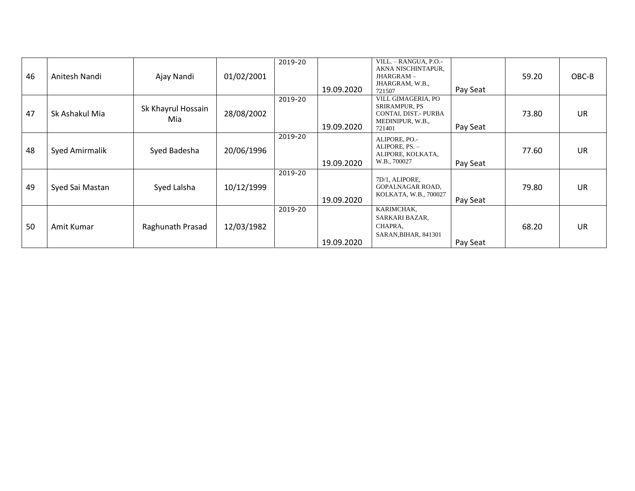| 46 | Anitesh Nandi   | Ajay Nandi                | 01/02/2001 | 2019-20 | 19.09.2020 | VILL. - RANGUA, P.O.-<br>AKNA NISCHINTAPUR,<br>JHARGRAM-<br>JHARGRAM, W.B.,<br>721507            | Pay Seat | 59.20 | OBC-B     |
|----|-----------------|---------------------------|------------|---------|------------|--------------------------------------------------------------------------------------------------|----------|-------|-----------|
| 47 | Sk Ashakul Mia  | Sk Khayrul Hossain<br>Mia | 28/08/2002 | 2019-20 | 19.09.2020 | VILL GIMAGERIA, PO<br><b>SRIRAMPUR, PS</b><br>CONTAI, DIST.- PURBA<br>MEDINIPUR, W.B.,<br>721401 | Pay Seat | 73.80 | <b>UR</b> |
| 48 | Syed Amirmalik  | Syed Badesha              | 20/06/1996 | 2019-20 | 19.09.2020 | ALIPORE, PO.-<br>ALIPORE, PS. -<br>ALIPORE, KOLKATA,<br>W.B., 700027                             | Pay Seat | 77.60 | <b>UR</b> |
| 49 | Syed Sai Mastan | Syed Lalsha               | 10/12/1999 | 2019-20 | 19.09.2020 | 7D/1, ALIPORE,<br>GOPALNAGAR ROAD,<br>KOLKATA, W.B., 700027                                      | Pay Seat | 79.80 | <b>UR</b> |
| 50 | Amit Kumar      | Raghunath Prasad          | 12/03/1982 | 2019-20 | 19.09.2020 | KARIMCHAK,<br>SARKARI BAZAR,<br>CHAPRA,<br>SARAN, BIHAR, 841301                                  | Pay Seat | 68.20 | <b>UR</b> |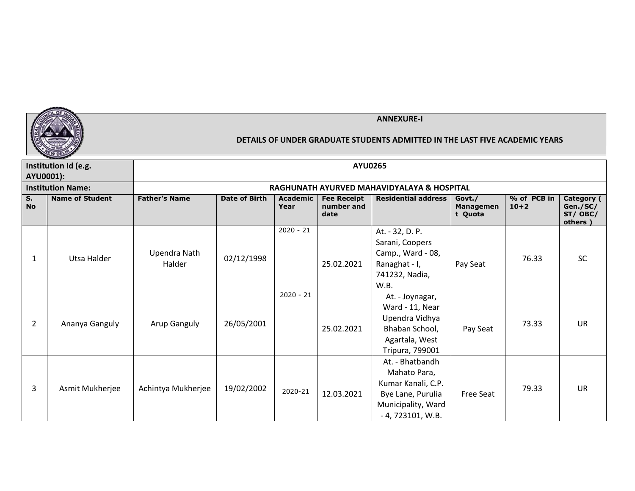

|                 | Institution Id (e.g.     |                        |                      |                  | <b>AYU0265</b>                           |                                                                                                                        |                                       |                         |                                               |
|-----------------|--------------------------|------------------------|----------------------|------------------|------------------------------------------|------------------------------------------------------------------------------------------------------------------------|---------------------------------------|-------------------------|-----------------------------------------------|
| AYU0001):       |                          |                        |                      |                  |                                          |                                                                                                                        |                                       |                         |                                               |
|                 | <b>Institution Name:</b> |                        |                      |                  |                                          | RAGHUNATH AYURVED MAHAVIDYALAYA & HOSPITAL                                                                             |                                       |                         |                                               |
| S.<br><b>No</b> | <b>Name of Student</b>   | <b>Father's Name</b>   | <b>Date of Birth</b> | Academic<br>Year | <b>Fee Receipt</b><br>number and<br>date | <b>Residential address</b>                                                                                             | Govt./<br><b>Managemen</b><br>t Quota | % of PCB in<br>$10 + 2$ | Category (<br>Gen./SC/<br>ST/ OBC/<br>others) |
| 1               | Utsa Halder              | Upendra Nath<br>Halder | 02/12/1998           | $2020 - 21$      | 25.02.2021                               | At. - 32, D. P.<br>Sarani, Coopers<br>Camp., Ward - 08,<br>Ranaghat - I,<br>741232, Nadia,<br>W.B.                     | Pay Seat                              | 76.33                   | <b>SC</b>                                     |
| 2               | Ananya Ganguly           | <b>Arup Ganguly</b>    | 26/05/2001           | $2020 - 21$      | 25.02.2021                               | At. - Joynagar,<br>Ward - 11, Near<br>Upendra Vidhya<br>Bhaban School,<br>Agartala, West<br>Tripura, 799001            | Pay Seat                              | 73.33                   | <b>UR</b>                                     |
| 3               | Asmit Mukherjee          | Achintya Mukherjee     | 19/02/2002           | 2020-21          | 12.03.2021                               | At. - Bhatbandh<br>Mahato Para,<br>Kumar Kanali, C.P.<br>Bye Lane, Purulia<br>Municipality, Ward<br>$-4, 723101, W.B.$ | <b>Free Seat</b>                      | 79.33                   | <b>UR</b>                                     |